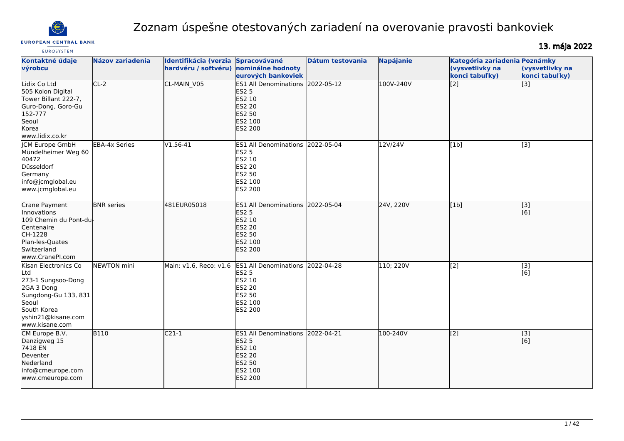

# Zoznam úspešne otestovaných zariadení na overovanie pravosti bankoviek

13. mája 2022

| <b>EUROSYSTEM</b>                                                                                                                                       |                      |                                                                              |                                                                                                                                           |                  |                  |                                                                    |                                                        |
|---------------------------------------------------------------------------------------------------------------------------------------------------------|----------------------|------------------------------------------------------------------------------|-------------------------------------------------------------------------------------------------------------------------------------------|------------------|------------------|--------------------------------------------------------------------|--------------------------------------------------------|
| Kontaktné údaje<br>výrobcu                                                                                                                              | Názov zariadenia     | Identifikácia (verzia Spracovávané<br>hardvéru / softvéru) nominálne hodnoty | eurových bankoviek                                                                                                                        | Dátum testovania | <b>Napájanie</b> | Kategória zariadenia Poznámky<br>(vysvetlivky na<br>konci tabuľky) | (vysvetlivky na<br>konci tabuľky)                      |
| Lidix Co Ltd<br>505 Kolon Digital<br>Tower Billant 222-7,<br>Guro-Dong, Goro-Gu<br>152-777<br>Seoul<br>Korea<br>www.lidix.co.kr                         | $CL-2$               | CL-MAIN_V05                                                                  | ES1 All Denominations 2022-05-12<br><b>ES2 5</b><br>ES2 10<br><b>ES2 20</b><br>ES2 50<br>ES2 100<br><b>ES2 200</b>                        |                  | 100V-240V        | $\overline{[2]}$                                                   | $\overline{[}3]$                                       |
| <b>ICM Europe GmbH</b><br>Mündelheimer Weg 60<br>40472<br>Düsseldorf<br>Germany<br>info@jcmglobal.eu<br>www.jcmglobal.eu                                | <b>EBA-4x Series</b> | $V1.56-41$                                                                   | ES1 All Denominations 2022-05-04<br><b>ES2 5</b><br>ES2 10<br><b>ES2 20</b><br>ES2 50<br>ES2 100<br>ES2 200                               |                  | 12V/24V          | [1b]                                                               | $\overline{[3]}$                                       |
| Crane Payment<br>Innovations<br>109 Chemin du Pont-du-<br>Centenaire<br>CH-1228<br>Plan-les-Quates<br>Switzerland<br>www.CranePI.com                    | <b>BNR</b> series    | 481EUR05018                                                                  | ES1 All Denominations 2022-05-04<br><b>ES2 5</b><br>ES2 10<br><b>ES2 20</b><br>ES2 50<br>ES2 100<br><b>ES2 200</b>                        |                  | 24V, 220V        | [1b]                                                               | [3]<br>[6]                                             |
| Kisan Electronics Co<br>Ltd<br>273-1 Sungsoo-Dong<br>2GA 3 Dong<br>Sungdong-Gu 133, 831<br>Seoul<br>South Korea<br>yshin21@kisane.com<br>www.kisane.com | <b>NEWTON</b> mini   |                                                                              | Main: v1.6, Reco: v1.6 ES1 All Denominations 2022-04-28<br><b>ES2 5</b><br>ES2 10<br><b>ES2 20</b><br>ES2 50<br>ES2 100<br><b>ES2 200</b> |                  | 110; 220V        | $\sqrt{2}$                                                         | $\left[ \begin{matrix} 3 \end{matrix} \right]$<br>[6]  |
| CM Europe B.V.<br>Danzigweg 15<br>7418 EN<br>Deventer<br>Nederland<br>info@cmeurope.com<br>www.cmeurope.com                                             | <b>B110</b>          | $C21-1$                                                                      | <b>ES1 All Denominations</b><br><b>ES2 5</b><br>ES2 10<br><b>ES2 20</b><br>ES2 50<br>ES2 100<br><b>ES2 200</b>                            | 2022-04-21       | 100-240V         | $\sqrt{2}$                                                         | $\left[ \begin{matrix} 3 \end{matrix} \right]$<br>[[6] |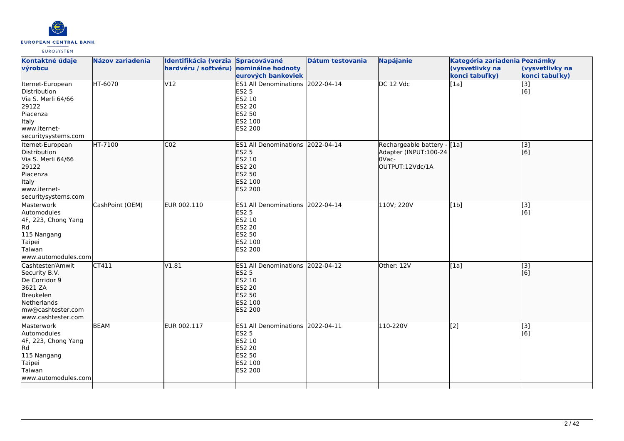

| Kontaktné údaje<br>výrobcu                                                                                                           | Názov zariadenia | Identifikácia (verzia Spracovávané<br>hardvéru / softvéru) nominálne hodnoty |                                                                                                                    | Dátum testovania | <b>Napájanie</b>                                                                 | Kategória zariadenia Poznámky<br>(vysvetlivky na | (vysvetlivky na           |
|--------------------------------------------------------------------------------------------------------------------------------------|------------------|------------------------------------------------------------------------------|--------------------------------------------------------------------------------------------------------------------|------------------|----------------------------------------------------------------------------------|--------------------------------------------------|---------------------------|
|                                                                                                                                      |                  |                                                                              | eurových bankoviek                                                                                                 |                  |                                                                                  | konci tabuľky)                                   | konci tabuľky)            |
| Iternet-European<br>Distribution<br>Via S. Merli 64/66<br>29122<br>Piacenza<br>Italy<br>www.iternet-<br>securitysystems.com          | HT-6070          | V12                                                                          | ES1 All Denominations 2022-04-14<br><b>ES2 5</b><br>ES2 10<br>ES2 20<br>ES2 50<br>ES2 100<br>ES2 200               |                  | DC 12 Vdc                                                                        | [1a]                                             | [3]<br>[6]                |
| Iternet-European<br>Distribution<br>Via S. Merli 64/66<br>29122<br>Piacenza<br>Italy<br>www.iternet-<br>securitysystems.com          | HT-7100          | CO <sub>2</sub>                                                              | ES1 All Denominations 2022-04-14<br><b>ES2 5</b><br>ES2 10<br><b>ES2 20</b><br><b>ES2 50</b><br>ES2 100<br>ES2 200 |                  | Rechargeable battery - [1a]<br>Adapter (INPUT:100-24<br>OVac-<br>OUTPUT:12Vdc/1A |                                                  | $\overline{[}$ [3]<br>[6] |
| Masterwork<br>Automodules<br>4F, 223, Chong Yang<br>Rd<br>115 Nangang<br>Taipei<br>Taiwan<br>www.automodules.com                     | CashPoint (OEM)  | EUR 002.110                                                                  | ES1 All Denominations 2022-04-14<br><b>ES2 5</b><br>ES2 10<br><b>ES2 20</b><br>ES2 50<br>ES2 100<br>ES2 200        |                  | 110V; 220V                                                                       | [1b]                                             | [3]<br>[6]                |
| Cashtester/Amwit<br>Security B.V.<br>De Corridor 9<br>3621 ZA<br>Breukelen<br>Netherlands<br>mw@cashtester.com<br>www.cashtester.com | CT411            | V1.81                                                                        | ES1 All Denominations 2022-04-12<br><b>ES2 5</b><br>ES2 10<br><b>ES2 20</b><br><b>ES2 50</b><br>ES2 100<br>ES2 200 |                  | Other: 12V                                                                       | [1a]                                             | $\overline{[}3]$<br>[[6]  |
| Masterwork<br>Automodules<br>4F, 223, Chong Yang<br>Rd<br>115 Nangang<br><b>Taipei</b><br>Taiwan<br>www.automodules.com              | <b>BEAM</b>      | EUR 002.117                                                                  | ES1 All Denominations 2022-04-11<br><b>ES2 5</b><br>ES2 10<br><b>ES2 20</b><br>ES2 50<br>ES2 100<br>ES2 200        |                  | 110-220V                                                                         | $\overline{[2]}$                                 | $\overline{[}3]$<br>[6]   |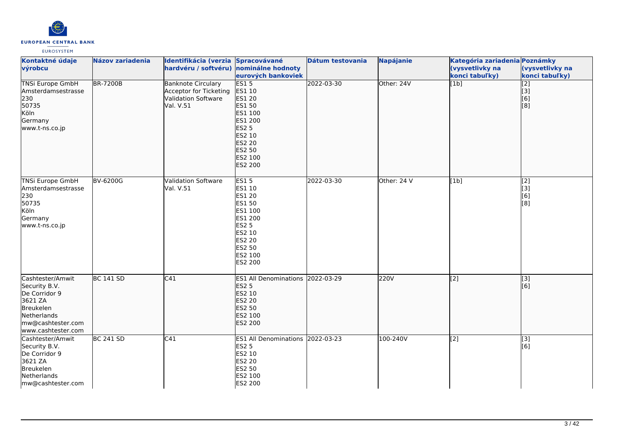

| Kontaktné údaje<br>výrobcu                                                                                                           | Názov zariadenia | Identifikácia (verzia Spracovávané<br>hardvéru / softvéru) nominálne hodnoty            | eurových bankoviek                                                                                                                                       | Dátum testovania | <b>Napájanie</b> | Kategória zariadenia Poznámky<br>(vysvetlivky na<br>konci tabuľky) | (vysvetlivky na<br>konci tabuľky)     |
|--------------------------------------------------------------------------------------------------------------------------------------|------------------|-----------------------------------------------------------------------------------------|----------------------------------------------------------------------------------------------------------------------------------------------------------|------------------|------------------|--------------------------------------------------------------------|---------------------------------------|
| <b>TNSi Europe GmbH</b><br>Amsterdamsestrasse<br>230<br>50735<br>Köln<br>Germany<br>www.t-ns.co.jp                                   | <b>BR-7200B</b>  | <b>Banknote Circulary</b><br>Acceptor for Ticketing<br>Validation Software<br>Val. V.51 | <b>ES15</b><br>ES1 10<br>ES1 20<br><b>ES1 50</b><br>ES1 100<br>ES1 200<br><b>ES2 5</b><br>ES2 10<br><b>ES2 20</b><br>ES2 50<br>ES2 100<br>ES2 200        | 2022-03-30       | Other: 24V       | [1b]                                                               | [2]<br>[3]<br>[6]<br>[8]              |
| TNSi Europe GmbH<br>Amsterdamsestrasse<br>230<br>50735<br>Köln<br>Germany<br>www.t-ns.co.jp                                          | BV-6200G         | Validation Software<br>Val. V.51                                                        | <b>ES15</b><br>ES1 10<br><b>ES1 20</b><br><b>ES1 50</b><br>ES1 100<br>ES1 200<br><b>ES2 5</b><br>ES2 10<br>ES2 20<br><b>ES2 50</b><br>ES2 100<br>ES2 200 | 2022-03-30       | Other: 24 V      | [1b]                                                               | $\overline{[2]}$<br>[3]<br>[6]<br>[8] |
| Cashtester/Amwit<br>Security B.V.<br>De Corridor 9<br>3621 ZA<br>Breukelen<br>Netherlands<br>mw@cashtester.com<br>www.cashtester.com | <b>BC 141 SD</b> | C41                                                                                     | ES1 All Denominations 2022-03-29<br><b>ES2 5</b><br>ES2 10<br><b>ES2 20</b><br><b>ES2 50</b><br>ES2 100<br>ES2 200                                       |                  | 220V             | [2]                                                                | [3]<br>[6]                            |
| Cashtester/Amwit<br>Security B.V.<br>De Corridor 9<br>3621 ZA<br>Breukelen<br>Netherlands<br>mw@cashtester.com                       | BC 241 SD        | C41                                                                                     | ES1 All Denominations 2022-03-23<br><b>ES2 5</b><br>ES2 10<br><b>ES2 20</b><br>ES2 50<br>ES2 100<br>ES2 200                                              |                  | 100-240V         | [2]                                                                | $\overline{[3]}$<br>[6]               |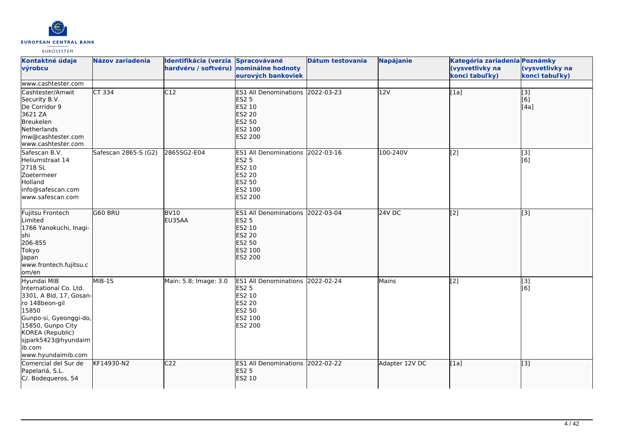

| Kontaktné údaje<br>výrobcu                                                                                                                                                                                            | <b>Názov zariadenia</b> | Identifikácia (verzia Spracovávané<br>hardvéru / softvéru) nominálne hodnoty | eurových bankoviek                                                                                             | Dátum testovania | <b>Napájanie</b> | Kategória zariadenia Poznámky<br>(vysvetlivky na<br>konci tabuľky) | (vysvetlivky na<br>konci tabuľky) |
|-----------------------------------------------------------------------------------------------------------------------------------------------------------------------------------------------------------------------|-------------------------|------------------------------------------------------------------------------|----------------------------------------------------------------------------------------------------------------|------------------|------------------|--------------------------------------------------------------------|-----------------------------------|
| www.cashtester.com                                                                                                                                                                                                    |                         |                                                                              |                                                                                                                |                  |                  |                                                                    |                                   |
| Cashtester/Amwit<br>Security B.V.<br>De Corridor 9<br>3621 ZA<br>Breukelen<br>Netherlands<br>mw@cashtester.com<br>www.cashtester.com                                                                                  | CT 334                  | C12                                                                          | <b>ES1 All Denominations</b><br><b>ES2 5</b><br><b>ES2 10</b><br><b>ES2 20</b><br>ES2 50<br>ES2 100<br>ES2 200 | 2022-03-23       | 12V              | [1a]                                                               | $\overline{[}$ [3]<br>[6]<br>[4a] |
| Safescan B.V.<br>Heliumstraat 14<br>2718 SL<br>Zoetermeer<br>Holland<br>info@safescan.com<br>www.safescan.com                                                                                                         | Safescan 2865-S (G2)    | 2865SG2-E04                                                                  | ES1 All Denominations 2022-03-16<br><b>ES2 5</b><br>ES2 10<br>ES2 20<br><b>ES2 50</b><br>ES2 100<br>ES2 200    |                  | 100-240V         | [2]                                                                | [3]<br>[6]                        |
| Fujitsu Frontech<br>Limited<br>1766 Yanokuchi, Inagi-<br><b>shi</b><br>206-855<br>Tokyo<br>Japan<br>www.frontech.fujitsu.c<br>lom/en                                                                                  | G60 BRU                 | <b>BV10</b><br>EU35AA                                                        | <b>ES1 All Denominations</b><br><b>ES2 5</b><br>ES2 10<br>ES2 20<br>ES2 50<br>ES2 100<br><b>ES2 200</b>        | 2022-03-04       | 24V DC           | [2]                                                                | [3]                               |
| Hyundai MIB<br>International Co. Ltd.<br>3301, A Bld, 17, Gosan-<br>ro 148beon-gil<br>15850<br>Gunpo-si, Gyeonggi-do,<br>15850, Gunpo City<br>KOREA (Republic)<br>sjpark5423@hyundaim<br>ib.com<br>www.hyundaimib.com | MIB-1S                  | Main: 5.8; Image: 3.0                                                        | <b>ES1 All Denominations</b><br><b>ES2 5</b><br>ES2 10<br><b>ES2 20</b><br>ES2 50<br>ES2 100<br>ES2 200        | 2022-02-24       | Mains            | $\overline{[2]}$                                                   | [3]<br>[6]                        |
| Comercial del Sur de<br>Papelariá, S.L.<br>C/. Bodequeros, 54                                                                                                                                                         | KF14930-N2              | C <sub>22</sub>                                                              | <b>ES1 All Denominations</b><br><b>ES2 5</b><br>ES2 10                                                         | 2022-02-22       | Adapter 12V DC   | [1a]                                                               | [3]                               |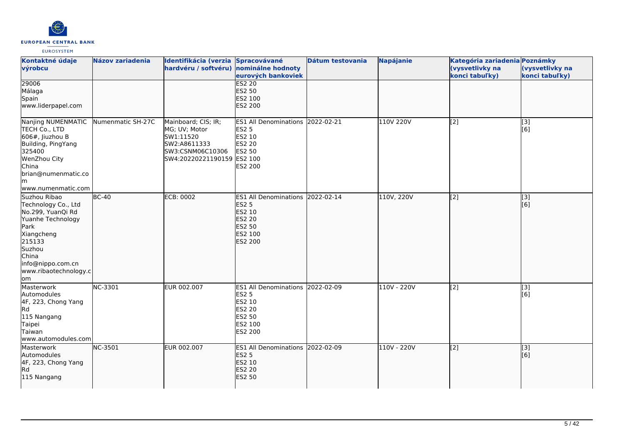

| Kontaktné údaje<br>výrobcu                                                                                                                                                           | <b>Názov zariadenia</b> | Identifikácia (verzia Spracovávané<br>hardvéru / softvéru) nominálne hodnoty                                        | eurových bankoviek                                                                                                 | Dátum testovania | <b>Napájanie</b> | Kategória zariadenia Poznámky<br>(vysvetlivky na<br>konci tabuľky) | (vysvetlivky na<br>konci tabuľky) |
|--------------------------------------------------------------------------------------------------------------------------------------------------------------------------------------|-------------------------|---------------------------------------------------------------------------------------------------------------------|--------------------------------------------------------------------------------------------------------------------|------------------|------------------|--------------------------------------------------------------------|-----------------------------------|
| 29006<br>Málaga<br>Spain<br>www.liderpapel.com                                                                                                                                       |                         |                                                                                                                     | <b>ES2 20</b><br><b>ES2 50</b><br>ES2 100<br>ES2 200                                                               |                  |                  |                                                                    |                                   |
| Nanjing NUMENMATIC<br>TECH Co., LTD<br>606#, Jiuzhou B<br>Building, PingYang<br>325400<br>WenZhou City<br>China<br>brian@numenmatic.co<br>lm.<br>www.numenmatic.com                  | Numenmatic SH-27C       | Mainboard; CIS; IR;<br>MG; UV; Motor<br>SW1:11520<br>SW2:A8611333<br>SW3:CSNM06C10306<br>SW4:20220221190159 ES2 100 | <b>ES1 All Denominations</b><br><b>ES2 5</b><br>ES2 10<br><b>ES2 20</b><br><b>ES2 50</b><br>ES2 200                | 2022-02-21       | 110V 220V        | [2]                                                                | [3]<br>[6]                        |
| Suzhou Ribao<br>Technology Co., Ltd<br>No.299, YuanQi Rd<br>Yuanhe Technology<br>Park<br>Xiangcheng<br>215133<br>Suzhou<br>China<br>info@nippo.com.cn<br>www.ribaotechnology.c<br>om | $BC-40$                 | <b>ECB: 0002</b>                                                                                                    | <b>ES1 All Denominations</b><br><b>ES2 5</b><br>ES2 10<br>ES2 20<br><b>ES2 50</b><br>ES2 100<br><b>ES2 200</b>     | 2022-02-14       | 110V, 220V       | $\sqrt{2}$                                                         | [3]<br>[6]                        |
| Masterwork<br>Automodules<br>4F, 223, Chong Yang<br>R <sub>d</sub><br>115 Nangang<br>Taipei<br>Taiwan<br>www.automodules.com                                                         | NC-3301                 | EUR 002.007                                                                                                         | ES1 All Denominations 2022-02-09<br><b>ES2 5</b><br>ES2 10<br><b>ES2 20</b><br><b>ES2 50</b><br>ES2 100<br>ES2 200 |                  | 110V - 220V      | $\left[ \begin{matrix} 2 \end{matrix} \right]$                     | [3]<br>[6]                        |
| Masterwork<br>Automodules<br>4F, 223, Chong Yang<br>Rd<br>115 Nangang                                                                                                                | NC-3501                 | EUR 002.007                                                                                                         | <b>ES1 All Denominations</b><br><b>ES2 5</b><br>ES2 10<br><b>ES2 20</b><br><b>ES2 50</b>                           | 2022-02-09       | 110V - 220V      | $\sqrt{2}$                                                         | [3]<br>[6]                        |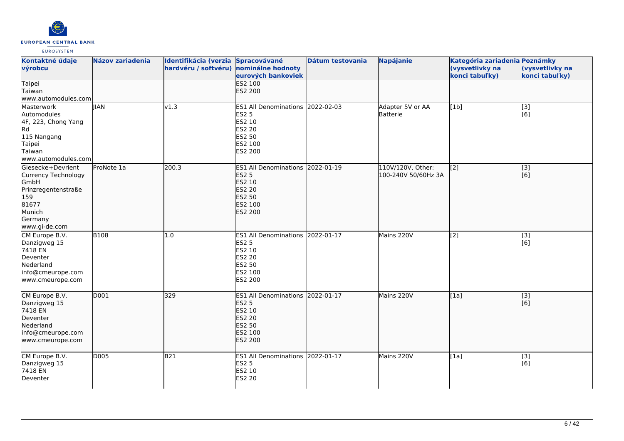

| Kontaktné údaje<br>výrobcu                                                                                                    | <b>Názov zariadenia</b> | Identifikácia (verzia Spracovávané<br>hardvéru / softvéru) nominálne hodnoty | eurových bankoviek                                                                                                        | Dátum testovania | <b>Napájanie</b>                         | Kategória zariadenia Poznámky<br>(vysvetlivky na<br>konci tabuľky) | (vysvetlivky na<br>konci tabuľky)  |
|-------------------------------------------------------------------------------------------------------------------------------|-------------------------|------------------------------------------------------------------------------|---------------------------------------------------------------------------------------------------------------------------|------------------|------------------------------------------|--------------------------------------------------------------------|------------------------------------|
| Taipei<br>Taiwan<br>www.automodules.com                                                                                       |                         |                                                                              | <b>ES2 100</b><br>ES2 200                                                                                                 |                  |                                          |                                                                    |                                    |
| Masterwork<br>Automodules<br>4F, 223, Chong Yang<br>Rd<br>115 Nangang<br>Taipei<br>Taiwan<br>www.automodules.com              | <b>IIAN</b>             | $\sqrt{1.3}$                                                                 | ES1 All Denominations 2022-02-03<br><b>ES2 5</b><br>ES2 10<br><b>ES2 20</b><br><b>ES2 50</b><br>ES2 100<br>ES2 200        |                  | Adapter 5V or AA<br>Batterie             | [1b]                                                               | $\overline{[3]}$<br>[6]            |
| Giesecke+Devrient<br>Currency Technology<br>GmbH<br>Prinzregentenstraße<br>159<br>81677<br>Munich<br>Germany<br>www.gi-de.com | ProNote 1a              | 200.3                                                                        | ES1 All Denominations 2022-01-19<br><b>ES2 5</b><br>ES2 10<br><b>ES2 20</b><br><b>ES2 50</b><br>ES2 100<br>ES2 200        |                  | 110V/120V, Other:<br>100-240V 50/60Hz 3A | $\overline{[2]}$                                                   | $\overline{[}3]$<br>[6]            |
| CM Europe B.V.<br>Danzigweg 15<br>7418 EN<br>Deventer<br>Nederland<br>info@cmeurope.com<br>www.cmeurope.com                   | <b>B108</b>             | 1.0                                                                          | <b>ES1 All Denominations</b><br><b>ES2 5</b><br>ES2 10<br>ES2 20<br>ES2 50<br>ES2 100<br>ES2 200                          | 2022-01-17       | Mains 220V                               | [2]                                                                | [3]<br>$\overline{[}6\overline{]}$ |
| CM Europe B.V.<br>Danzigweg 15<br>7418 EN<br>Deventer<br>Nederland<br>info@cmeurope.com<br>www.cmeurope.com                   | $\overline{D001}$       | 329                                                                          | ES1 All Denominations 2022-01-17<br><b>ES2 5</b><br>ES2 10<br><b>ES2 20</b><br><b>ES2 50</b><br>ES2 100<br><b>ES2 200</b> |                  | Mains 220V                               | [1a]                                                               | $\overline{[}3]$<br>[6]            |
| CM Europe B.V.<br>Danzigweg 15<br>7418 EN<br>Deventer                                                                         | D005                    | <b>B21</b>                                                                   | ES1 All Denominations 2022-01-17<br><b>ES2 5</b><br>ES2 10<br><b>ES2 20</b>                                               |                  | Mains 220V                               | [1a]                                                               | $[3]$<br>[6]                       |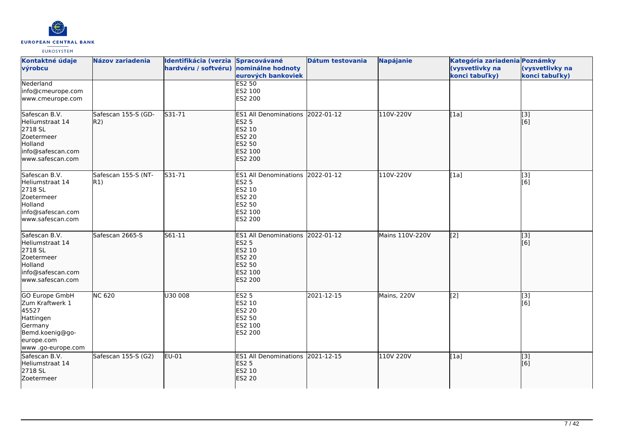

| Kontaktné údaje<br>výrobcu                                                                                                      | <b>Názov zariadenia</b>    | Identifikácia (verzia Spracovávané<br>hardvéru / softvéru) nominálne hodnoty | eurových bankoviek                                                                                             | Dátum testovania | <b>Napájanie</b> | Kategória zariadenia Poznámky<br>(vysvetlivky na<br>konci tabuľky) | (vysvetlivky na<br>konci tabuľky)                         |
|---------------------------------------------------------------------------------------------------------------------------------|----------------------------|------------------------------------------------------------------------------|----------------------------------------------------------------------------------------------------------------|------------------|------------------|--------------------------------------------------------------------|-----------------------------------------------------------|
| Nederland<br>info@cmeurope.com<br>www.cmeurope.com                                                                              |                            |                                                                              | <b>ES2 50</b><br>ES2 100<br>ES2 200                                                                            |                  |                  |                                                                    |                                                           |
| Safescan B.V.<br>Heliumstraat 14<br>2718 SL<br>Zoetermeer<br><b>Holland</b><br>info@safescan.com<br>www.safescan.com            | Safescan 155-S (GD-<br>R2) | S31-71                                                                       | <b>ES1 All Denominations</b><br><b>ES2 5</b><br>ES2 10<br><b>ES2 20</b><br><b>ES2 50</b><br>ES2 100<br>ES2 200 | $2022 - 01 - 12$ | 110V-220V        | [1a]                                                               | $\overline{[}3]$<br>[6]                                   |
| Safescan B.V.<br>Heliumstraat 14<br>2718 SL<br>Zoetermeer<br>Holland<br>info@safescan.com<br>www.safescan.com                   | Safescan 155-S (NT-<br>R1) | S31-71                                                                       | <b>ES1 All Denominations</b><br>ES2 5<br><b>ES2 10</b><br><b>ES2 20</b><br>ES2 50<br>ES2 100<br>ES2 200        | 2022-01-12       | 110V-220V        | [1a]                                                               | $\overline{[3]}$<br>[6]                                   |
| Safescan B.V.<br>Heliumstraat 14<br>2718 SL<br>Zoetermeer<br>Holland<br>info@safescan.com<br>lwww.safescan.com                  | Safescan 2665-S            | S61-11                                                                       | <b>ES1 All Denominations</b><br><b>ES2 5</b><br>ES2 10<br>ES2 20<br>ES2 50<br>ES2 100<br><b>ES2 200</b>        | 2022-01-12       | Mains 110V-220V  | $\left[ \begin{matrix} 2 \end{matrix} \right]$                     | $\left[ \begin{matrix} 1 & 3 \end{matrix} \right]$<br>[6] |
| <b>GO Europe GmbH</b><br>Zum Kraftwerk 1<br>45527<br>Hattingen<br>Germany<br>Bemd.koenig@go-<br>europe.com<br>www.go-europe.com | <b>NC 620</b>              | U30 008                                                                      | ES2 <sub>5</sub><br>ES2 10<br>ES2 20<br>ES2 50<br>ES2 100<br>ES2 200                                           | 2021-12-15       | Mains, 220V      | [2]                                                                | $\overline{[3]}$<br>[6]                                   |
| Safescan B.V.<br>Heliumstraat 14<br>2718 SL<br>Zoetermeer                                                                       | Safescan 155-S (G2)        | EU-01                                                                        | ES1 All Denominations 2021-12-15<br><b>ES2 5</b><br>ES2 10<br><b>ES2 20</b>                                    |                  | 110V 220V        | [1a]                                                               | [3]<br>[6]                                                |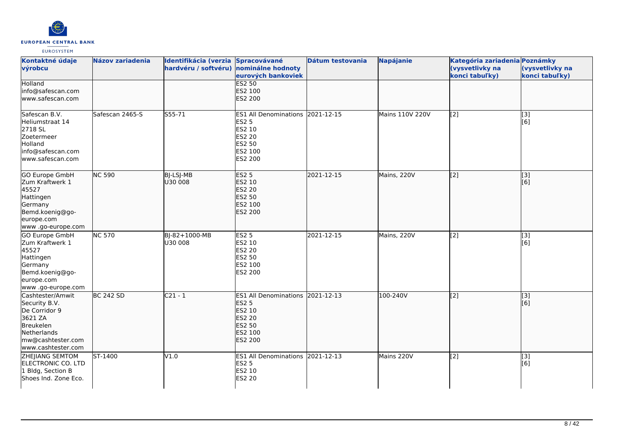

| Kontaktné údaje<br>výrobcu                                                                                                           | <b>Názov zariadenia</b> | Identifikácia (verzia Spracovávané<br>hardvéru / softvéru) | nominálne hodnoty<br>eurových bankoviek                                                                                   | Dátum testovania | <b>Napájanie</b>       | Kategória zariadenia Poznámky<br>(vysvetlivky na<br>konci tabuľky) | (vysvetlivky na<br>konci tabuľky)      |
|--------------------------------------------------------------------------------------------------------------------------------------|-------------------------|------------------------------------------------------------|---------------------------------------------------------------------------------------------------------------------------|------------------|------------------------|--------------------------------------------------------------------|----------------------------------------|
| Holland<br>info@safescan.com<br>lwww.safescan.com                                                                                    |                         |                                                            | <b>ES2 50</b><br>ES2 100<br>ES2 200                                                                                       |                  |                        |                                                                    |                                        |
| Safescan B.V.<br>Heliumstraat 14<br>2718 SL<br>Zoetermeer<br>Holland<br>info@safescan.com<br>www.safescan.com                        | Safescan 2465-S         | $555 - 71$                                                 | ES1 All Denominations 2021-12-15<br><b>ES2 5</b><br>ES2 10<br>ES2 20<br>ES2 50<br>ES2 100<br>ES2 200                      |                  | <b>Mains 110V 220V</b> | $\overline{[2]}$                                                   | $\overline{[}3]$<br>[6]                |
| GO Europe GmbH<br>Zum Kraftwerk 1<br>45527<br>Hattingen<br>Germany<br>Bemd.koenig@go-<br>europe.com<br>www.go-europe.com             | <b>NC 590</b>           | BJ-LSJ-MB<br>U30 008                                       | <b>ES2 5</b><br>ES2 10<br>ES2 20<br>ES2 50<br>ES2 100<br><b>ES2 200</b>                                                   | 2021-12-15       | Mains, 220V            | $\overline{[2]}$                                                   | $\overline{[3]}$<br>[6]                |
| GO Europe GmbH<br>Zum Kraftwerk 1<br>45527<br>Hattingen<br>Germany<br>Bemd.koenig@go-<br>europe.com<br>www.go-europe.com             | <b>NC 570</b>           | BJ-82+1000-MB<br>U30 008                                   | <b>ES2 5</b><br>ES2 10<br>ES2 20<br>ES2 50<br>ES2 100<br><b>ES2 200</b>                                                   | 2021-12-15       | Mains, 220V            | $\left[2\right]$                                                   | $\begin{bmatrix} 3 \\ 6 \end{bmatrix}$ |
| Cashtester/Amwit<br>Security B.V.<br>De Corridor 9<br>3621 ZA<br>Breukelen<br>Netherlands<br>mw@cashtester.com<br>www.cashtester.com | <b>BC 242 SD</b>        | $C21 - 1$                                                  | ES1 All Denominations 2021-12-13<br><b>ES2 5</b><br>ES2 10<br><b>ES2 20</b><br><b>ES2 50</b><br>ES2 100<br><b>ES2 200</b> |                  | 100-240V               | $\left[2\right]$                                                   | $\overline{[3]}$<br>[6]                |
| ZHEJIANG SEMTOM<br>ELECTRONIC CO. LTD<br>1 Bldg, Section B<br>Shoes Ind. Zone Eco.                                                   | ST-1400                 | V1.0                                                       | ES1 All Denominations 2021-12-13<br><b>ES2 5</b><br>ES2 10<br>ES2 20                                                      |                  | Mains 220V             | [2]                                                                | [3]<br>[6]                             |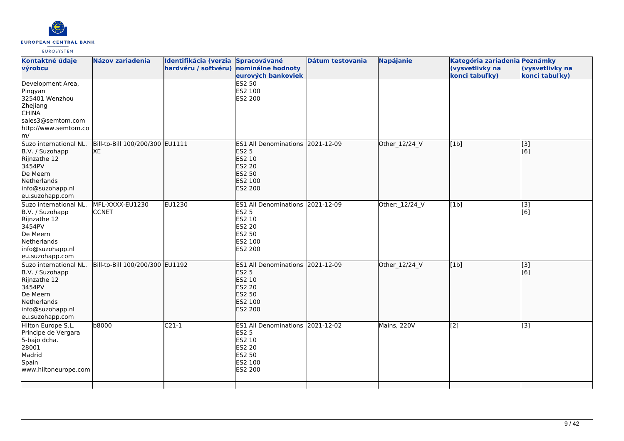

| Kontaktné údaje<br>výrobcu                                                                                                            | <b>Názov zariadenia</b>               | Identifikácia (verzia Spracovávané<br>hardvéru / softvéru) nominálne hodnoty |                                                                                                                    | Dátum testovania | <b>Napájanie</b> | Kategória zariadenia Poznámky<br>(vysvetlivky na | (vysvetlivky na         |
|---------------------------------------------------------------------------------------------------------------------------------------|---------------------------------------|------------------------------------------------------------------------------|--------------------------------------------------------------------------------------------------------------------|------------------|------------------|--------------------------------------------------|-------------------------|
|                                                                                                                                       |                                       |                                                                              | eurových bankoviek                                                                                                 |                  |                  | konci tabuľky)                                   | konci tabuľky)          |
| Development Area,<br>Pingyan<br>325401 Wenzhou<br>Zhejiang<br><b>CHINA</b><br>sales3@semtom.com<br>http://www.semtom.co<br>m/         |                                       |                                                                              | <b>ES2 50</b><br>ES2 100<br>ES2 200                                                                                |                  |                  |                                                  |                         |
| Suzo international NL.<br>B.V. / Suzohapp<br>Rijnzathe 12<br>3454PV<br>De Meern<br>Netherlands<br>info@suzohapp.nl<br>eu.suzohapp.com | Bill-to-Bill 100/200/300 EU1111<br>XE |                                                                              | ES1 All Denominations 2021-12-09<br><b>ES2 5</b><br>ES2 10<br><b>ES2 20</b><br>ES2 50<br>ES2 100<br><b>ES2 200</b> |                  | Other_12/24_V    | [1b]                                             | $\vert$ [3]<br>[6]      |
| Suzo international NL.<br>B.V. / Suzohapp<br>Rijnzathe 12<br>3454PV<br>De Meern<br>Netherlands<br>info@suzohapp.nl<br>eu.suzohapp.com | MFL-XXXX-EU1230<br><b>CCNET</b>       | EU1230                                                                       | ES1 All Denominations 2021-12-09<br><b>ES2 5</b><br>ES2 10<br><b>ES2 20</b><br>ES2 50<br>ES2 100<br>ES2 200        |                  | Other: 12/24 V   | [1b]                                             | $\vert$ [3]<br>[6]      |
| Suzo international NL.<br>B.V. / Suzohapp<br>Rijnzathe 12<br>3454PV<br>De Meern<br>Netherlands<br>info@suzohapp.nl<br>eu.suzohapp.com | Bill-to-Bill 100/200/300 EU1192       |                                                                              | ES1 All Denominations 2021-12-09<br><b>ES2 5</b><br>ES2 10<br><b>ES2 20</b><br>ES2 50<br>ES2 100<br>ES2 200        |                  | Other_12/24_V    | [1b]                                             | $\overline{[}3]$<br>[6] |
| Hilton Europe S.L.<br>Principe de Vergara<br>5-bajo dcha.<br>28001<br>Madrid<br>Spain<br>www.hiltoneurope.com                         | b8000                                 | $C21-1$                                                                      | ES1 All Denominations 2021-12-02<br><b>ES2 5</b><br>ES2 10<br>ES2 20<br>ES2 50<br>ES2 100<br>ES2 200               |                  | Mains, 220V      | $\overline{[2]}$                                 | $\overline{[3]}$        |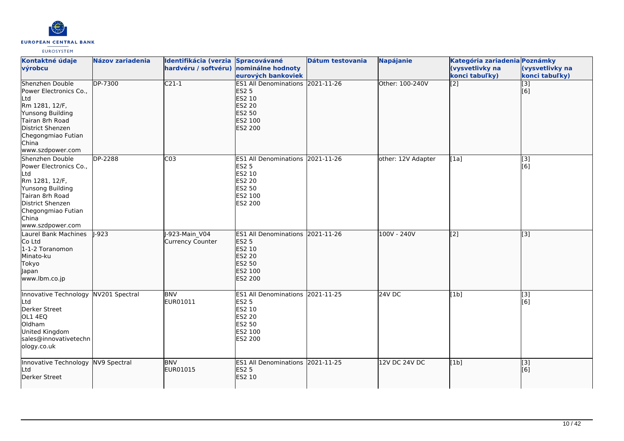

| Kontaktné údaje                                                                                                                                                                  | <b>Názov zariadenia</b> | Identifikácia (verzia Spracovávané       |                                                                                                                              | Dátum testovania | <b>Napájanie</b>     | Kategória zariadenia Poznámky     |                                   |
|----------------------------------------------------------------------------------------------------------------------------------------------------------------------------------|-------------------------|------------------------------------------|------------------------------------------------------------------------------------------------------------------------------|------------------|----------------------|-----------------------------------|-----------------------------------|
| výrobcu                                                                                                                                                                          |                         | hardvéru / softvéru) nominálne hodnoty   | eurových bankoviek                                                                                                           |                  |                      | (vysvetlivky na<br>konci tabuľky) | (vysvetlivky na<br>konci tabuľky) |
| Shenzhen Double<br>Power Electronics Co.,<br>Ltd<br>Rm 1281, 12/F,<br>Yunsong Building<br>Tairan 8rh Road<br>District Shenzen<br>Chegongmiao Futian<br>China<br>www.szdpower.com | DP-7300                 | $C21-1$                                  | ES1 All Denominations 2021-11-26<br><b>ES2 5</b><br>ES2 10<br><b>ES2 20</b><br><b>ES2 50</b><br>ES2 100<br><b>ES2 200</b>    |                  | Other: 100-240V      | $\overline{[2]}$                  | $\overline{[}3]$<br>[6]           |
| Shenzhen Double<br>Power Electronics Co.,<br>Ltd<br>Rm 1281, 12/F,<br>Yunsong Building<br>Tairan 8rh Road<br>District Shenzen<br>Chegongmiao Futian<br>China<br>www.szdpower.com | DP-2288                 | $\overline{C03}$                         | ES1 All Denominations 2021-11-26<br>ES2 5<br>ES2 10<br>ES2 20<br>ES2 50<br>ES2 100<br>ES2 200                                |                  | other: 12V Adapter   | [1a]                              | $\overline{[3]}$<br>[6]           |
| Laurel Bank Machines<br>Co Ltd<br>1-1-2 Toranomon<br>Minato-ku<br>Tokyo<br>Japan<br>www.lbm.co.jp                                                                                | $-923$                  | -923-Main V04<br><b>Currency Counter</b> | <b>ES1 All Denominations</b><br><b>ES2 5</b><br><b>ES2 10</b><br><b>ES2 20</b><br><b>ES2 50</b><br>ES2 100<br><b>ES2 200</b> | 2021-11-26       | 100V - 240V          | [2]                               | $\overline{[3]}$                  |
| Innovative Technology<br>Ltd<br>Derker Street<br>OL1 4EQ<br>Oldham<br>United Kingdom<br>sales@innovativetechn<br>ology.co.uk                                                     | NV201 Spectral          | <b>BNV</b><br>EUR01011                   | ES1 All Denominations 2021-11-25<br><b>ES2 5</b><br>ES2 10<br>ES2 20<br>ES2 50<br>ES2 100<br>ES2 200                         |                  | $24V$ DC             | [1b]                              | $[3]$<br>[6]                      |
| Innovative Technology<br>Ltd<br>Derker Street                                                                                                                                    | NV9 Spectral            | <b>BNV</b><br>EUR01015                   | ES1 All Denominations 2021-11-25<br><b>ES2 5</b><br>ES2 10                                                                   |                  | <b>12V DC 24V DC</b> | [1b]                              | [3]<br>[6]                        |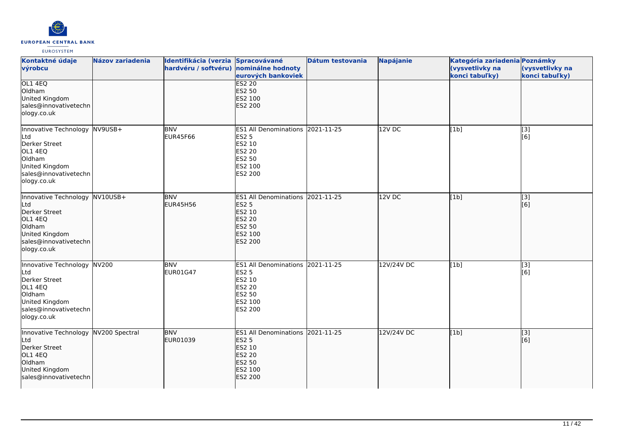

| Kontaktné údaje<br>výrobcu                                                                                                            | <b>Názov zariadenia</b> | Identifikácia (verzia Spracovávané<br>hardvéru / softvéru) nominálne hodnoty | eurových bankoviek                                                                                                 | Dátum testovania | Napájanie  | Kategória zariadenia Poznámky<br>(vysvetlivky na<br>konci tabuľky) | (vysvetlivky na<br>konci tabuľky) |
|---------------------------------------------------------------------------------------------------------------------------------------|-------------------------|------------------------------------------------------------------------------|--------------------------------------------------------------------------------------------------------------------|------------------|------------|--------------------------------------------------------------------|-----------------------------------|
| OL1 4EQ<br>Oldham<br>United Kingdom<br>sales@innovativetechn<br>ology.co.uk                                                           |                         |                                                                              | <b>ES2 20</b><br>ES2 50<br>ES2 100<br><b>ES2 200</b>                                                               |                  |            |                                                                    |                                   |
| Innovative Technology<br>Ltd<br>Derker Street<br>OL1 4EQ<br>Oldham<br>United Kingdom<br>sales@innovativetechn<br>ology.co.uk          | $NV9USB+$               | <b>BNV</b><br>EUR45F66                                                       | <b>ES1 All Denominations</b><br><b>ES2 5</b><br>ES2 10<br><b>ES2 20</b><br><b>ES2 50</b><br>ES2 100<br>ES2 200     | 2021-11-25       | 12V DC     | [1b]                                                               | [3]<br>[6]                        |
| Innovative Technology NV10USB+<br>Ltd<br>Derker Street<br>OL1 4EQ<br>Oldham<br>United Kingdom<br>sales@innovativetechn<br>ology.co.uk |                         | <b>BNV</b><br><b>EUR45H56</b>                                                | ES1 All Denominations 2021-11-25<br><b>ES2 5</b><br>ES2 10<br><b>ES2 20</b><br>ES2 50<br>ES2 100<br><b>ES2 200</b> |                  | 12V DC     | [1b]                                                               | [3]<br>[6]                        |
| Innovative Technology NV200<br>Ltd<br>Derker Street<br>OL1 4EQ<br>Oldham<br>United Kingdom<br>sales@innovativetechn<br>ology.co.uk    |                         | <b>BNV</b><br>EUR01G47                                                       | ES1 All Denominations 2021-11-25<br><b>ES2 5</b><br>ES2 10<br><b>ES2 20</b><br><b>ES2 50</b><br>ES2 100<br>ES2 200 |                  | 12V/24V DC | [1b]                                                               | $\overline{[}3]$<br>[6]           |
| Innovative Technology<br>Ltd<br>Derker Street<br>OL1 4EQ<br>Oldham<br>United Kingdom<br>sales@innovativetechn                         | NV200 Spectral          | <b>BNV</b><br>EUR01039                                                       | ES1 All Denominations 2021-11-25<br><b>ES2 5</b><br>ES2 10<br><b>ES2 20</b><br><b>ES2 50</b><br>ES2 100<br>ES2 200 |                  | 12V/24V DC | [1b]                                                               | [3]<br>[6]                        |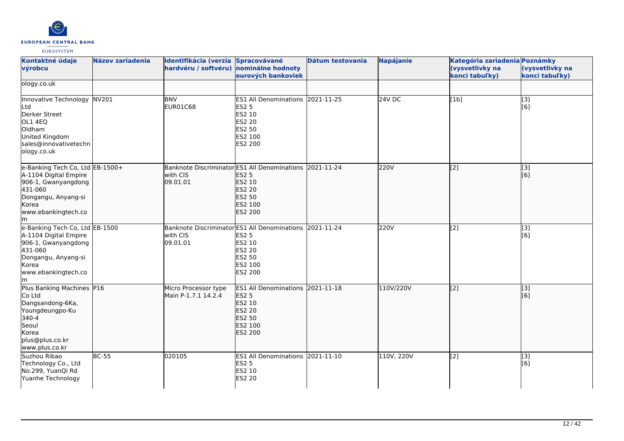

| Kontaktné údaje                                                                                                                                         | <b>Názov zariadenia</b> | Identifikácia (verzia                       | Spracovávané                                                                                                                | Dátum testovania | <b>Napájanie</b> | Kategória zariadenia Poznámky     |                                   |
|---------------------------------------------------------------------------------------------------------------------------------------------------------|-------------------------|---------------------------------------------|-----------------------------------------------------------------------------------------------------------------------------|------------------|------------------|-----------------------------------|-----------------------------------|
| výrobcu                                                                                                                                                 |                         | hardvéru / softvéru)                        | nominálne hodnoty<br>eurových bankoviek                                                                                     |                  |                  | (vysvetlivky na<br>konci tabuľky) | (vysvetlivky na<br>konci tabuľky) |
| ology.co.uk                                                                                                                                             |                         |                                             |                                                                                                                             |                  |                  |                                   |                                   |
| Innovative Technology NV201<br>Ltd<br>Derker Street<br>OL1 4EQ<br>Oldham<br>United Kingdom<br>sales@innovativetechn<br>ology.co.uk                      |                         | <b>BNV</b><br><b>EUR01C68</b>               | ES1 All Denominations 2021-11-25<br><b>ES2 5</b><br>ES2 10<br>ES2 20<br>ES2 50<br>ES2 100<br>ES2 200                        |                  | 24V DC           | [1b]                              | [3]<br>[6]                        |
| e-Banking Tech Co, Ltd EB-1500+<br>A-1104 Digital Empire<br>906-1, Gwanyangdong<br>431-060<br>Dongangu, Anyang-si<br>Korea<br>www.ebankingtech.co<br>lm |                         | with CIS<br>09.01.01                        | Banknote Discriminator ES1 All Denominations 2021-11-24<br><b>ES2 5</b><br>ES2 10<br>ES2 20<br>ES2 50<br>ES2 100<br>ES2 200 |                  | 220V             | $\overline{[2]}$                  | $\vert$ [3]<br>[6]                |
| e-Banking Tech Co, Ltd EB-1500<br>A-1104 Digital Empire<br>906-1, Gwanyangdong<br>431-060<br>Dongangu, Anyang-si<br>Korea<br>www.ebankingtech.co<br>lm. |                         | with CIS<br>09.01.01                        | Banknote Discriminator ES1 All Denominations 2021-11-24<br><b>ES2 5</b><br>ES2 10<br>ES2 20<br>ES2 50<br>ES2 100<br>ES2 200 |                  | 220V             | [2]                               | [3]<br>[6]                        |
| Plus Banking Machines P16<br>Co Ltd<br>Dangsandong-6Ka,<br>Youngdeungpo-Ku<br>340-4<br>Seoul<br>Korea<br>plus@plus.co.kr<br>www.plus.co.kr              |                         | Micro Processor type<br>Main P-1.7.1 14.2.4 | ES1 All Denominations 2021-11-18<br><b>ES2 5</b><br>ES2 10<br><b>ES2 20</b><br>ES2 50<br>ES2 100<br>ES2 200                 |                  | 110V/220V        | $\sqrt{2}$                        | $\vert$ [3]<br>[6]                |
| Suzhou Ribao<br>Technology Co., Ltd<br>No.299, YuanQi Rd<br>Yuanhe Technology                                                                           | <b>BC-55</b>            | 020105                                      | ES1 All Denominations 2021-11-10<br>ES2 5<br>ES2 10<br>ES2 20                                                               |                  | 110V, 220V       | [2]                               | [3]<br>[6]                        |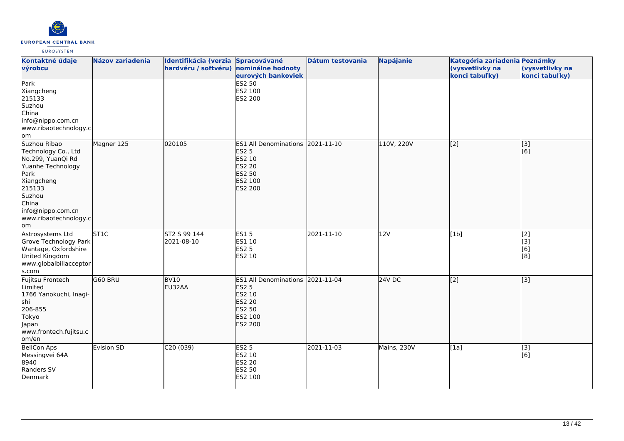

| Kontaktné údaje<br>výrobcu                                                                                                                                                            | <b>Názov zariadenia</b> | Identifikácia (verzia Spracovávané<br>hardvéru / softvéru) nominálne hodnoty | eurových bankoviek                                                                                      | Dátum testovania | Napájanie   | Kategória zariadenia Poznámky<br>(vysvetlivky na<br>konci tabuľky) | (vysvetlivky na<br>konci tabuľky) |
|---------------------------------------------------------------------------------------------------------------------------------------------------------------------------------------|-------------------------|------------------------------------------------------------------------------|---------------------------------------------------------------------------------------------------------|------------------|-------------|--------------------------------------------------------------------|-----------------------------------|
| Park<br>Xiangcheng<br>215133<br>Suzhou<br>China<br>info@nippo.com.cn<br>www.ribaotechnology.c<br>lom                                                                                  |                         |                                                                              | <b>ES2 50</b><br>ES2 100<br>ES2 200                                                                     |                  |             |                                                                    |                                   |
| Suzhou Ribao<br>Technology Co., Ltd<br>No.299, YuanQi Rd<br>Yuanhe Technology<br>Park<br>Xiangcheng<br>215133<br>Suzhou<br>China<br>info@nippo.com.cn<br>www.ribaotechnology.c<br>lom | Magner 125              | 020105                                                                       | ES1 All Denominations 2021-11-10<br><b>ES2 5</b><br>ES2 10<br>ES2 20<br>ES2 50<br>ES2 100<br>ES2 200    |                  | 110V, 220V  | $\overline{[2]}$                                                   | $\overline{[}3]$<br>[6]           |
| Astrosystems Ltd<br>Grove Technology Park<br>Wantage, Oxfordshire<br>United Kingdom<br>www.globalbillacceptor<br>s.com                                                                | ST <sub>1C</sub>        | ST2 S 99 144<br>2021-08-10                                                   | <b>ES15</b><br>ES1 10<br><b>ES2 5</b><br>ES2 10                                                         | 2021-11-10       | 12V         | [1b]                                                               | [2]<br>[3]<br>[6]<br>[8]          |
| Fujitsu Frontech<br>Limited<br>1766 Yanokuchi, Inagi-<br>shi<br>206-855<br>Tokyo<br>Japan<br>www.frontech.fujitsu.c<br>om/en                                                          | G60 BRU                 | <b>BV10</b><br>EU32AA                                                        | <b>ES1 All Denominations</b><br><b>ES2 5</b><br>ES2 10<br><b>ES2 20</b><br>ES2 50<br>ES2 100<br>ES2 200 | 2021-11-04       | 24V DC      | [2]                                                                | $\overline{[3]}$                  |
| <b>BellCon Aps</b><br>Messingvei 64A<br>8940<br>Randers SV<br>Denmark                                                                                                                 | Evision SD              | C20 (039)                                                                    | <b>ES2 5</b><br>ES2 10<br>ES2 20<br>ES2 50<br>ES2 100                                                   | 2021-11-03       | Mains, 230V | [1a]                                                               | [3]<br>[6]                        |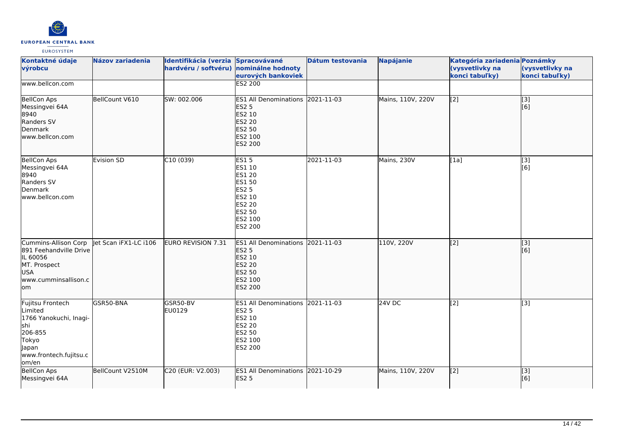

| Kontaktné údaje<br>výrobcu                                                                                                   | <b>Názov zariadenia</b> | Identifikácia (verzia<br>hardvéru / softvéru) | Spracovávané<br>nominálne hodnoty<br>eurových bankoviek                                                            | Dátum testovania | Napájanie         | Kategória zariadenia Poznámky<br>(vysvetlivky na<br>konci tabuľky) | (vysvetlivky na<br>konci tabuľky) |
|------------------------------------------------------------------------------------------------------------------------------|-------------------------|-----------------------------------------------|--------------------------------------------------------------------------------------------------------------------|------------------|-------------------|--------------------------------------------------------------------|-----------------------------------|
| www.bellcon.com                                                                                                              |                         |                                               | <b>ES2 200</b>                                                                                                     |                  |                   |                                                                    |                                   |
| <b>BellCon Aps</b><br>Messingvei 64A<br>8940<br>Randers SV<br>Denmark<br>www.bellcon.com                                     | BellCount V610          | SW: 002.006                                   | ES1 All Denominations 2021-11-03<br><b>ES2 5</b><br>ES2 10<br><b>ES2 20</b><br><b>ES2 50</b><br>ES2 100<br>ES2 200 |                  | Mains, 110V, 220V | [2]                                                                | [[3]<br>[6]                       |
| <b>BellCon Aps</b><br>Messingvei 64A<br>8940<br>Randers SV<br>Denmark<br>www.bellcon.com                                     | <b>Evision SD</b>       | C10(039)                                      | <b>ES15</b><br>ES1 10<br>ES1 20<br>ES1 50<br><b>ES2 5</b><br>ES2 10<br>ES2 20<br>ES2 50<br>ES2 100<br>ES2 200      | 2021-11-03       | Mains, 230V       | [1a]                                                               | [3]<br>[6]                        |
| Cummins-Allison Corp<br>891 Feehandville Drive<br>IL 60056<br>MT. Prospect<br><b>USA</b><br>www.cumminsallison.c<br>lom      | let Scan iFX1-LC i106   | <b>EURO REVISION 7.31</b>                     | ES1 All Denominations 2021-11-03<br><b>ES2 5</b><br>ES2 10<br><b>ES2 20</b><br>ES2 50<br>ES2 100<br>ES2 200        |                  | 110V, 220V        | $\overline{[2]}$                                                   | $\overline{[3]}$<br>[6]           |
| Fujitsu Frontech<br>Limited<br>1766 Yanokuchi, Inagi-<br>shi<br>206-855<br>Tokyo<br>Japan<br>www.frontech.fujitsu.c<br>om/en | GSR50-BNA               | GSR50-BV<br>EU0129                            | ES1 All Denominations 2021-11-03<br><b>ES2 5</b><br>ES2 10<br>ES2 20<br>ES2 50<br>ES2 100<br>ES2 200               |                  | 24V DC            | $\overline{[2]}$                                                   | [3]                               |
| <b>BellCon Aps</b><br>Messingvei 64A                                                                                         | BellCount V2510M        | C20 (EUR: V2.003)                             | ES1 All Denominations 2021-10-29<br><b>ES2 5</b>                                                                   |                  | Mains, 110V, 220V | $\overline{[2]}$                                                   | $\overline{[}3]$<br>[[6]          |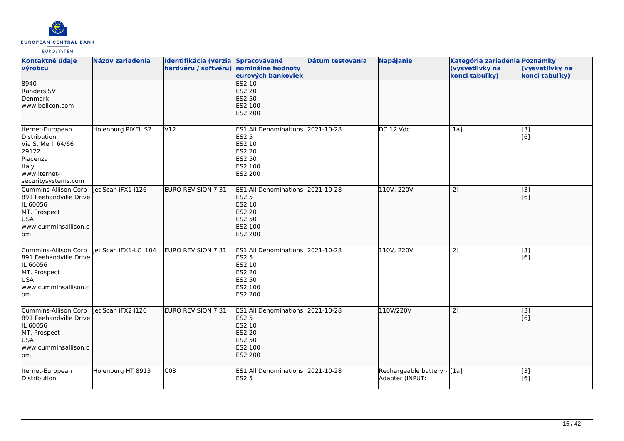

| Kontaktné údaje<br>výrobcu                                                                                                  | <b>Názov zariadenia</b> | Identifikácia (verzia Spracovávané<br>hardvéru / softvéru) nominálne hodnoty | eurových bankoviek                                                                                                 | Dátum testovania | <b>Napájanie</b>                               | Kategória zariadenia Poznámky<br>(vysvetlivky na<br>konci tabuľky) | (vysvetlivky na<br>konci tabuľky) |
|-----------------------------------------------------------------------------------------------------------------------------|-------------------------|------------------------------------------------------------------------------|--------------------------------------------------------------------------------------------------------------------|------------------|------------------------------------------------|--------------------------------------------------------------------|-----------------------------------|
| 8940<br>Randers SV<br>Denmark<br>www.bellcon.com                                                                            |                         |                                                                              | <b>ES2 10</b><br><b>ES2 20</b><br><b>ES2 50</b><br>ES2 100<br>ES2 200                                              |                  |                                                |                                                                    |                                   |
| Iternet-European<br>Distribution<br>Via S. Merli 64/66<br>29122<br>Piacenza<br>Italy<br>www.iternet-<br>securitysystems.com | Holenburg PIXEL S2      | V <sub>12</sub>                                                              | <b>ES1 All Denominations</b><br>ES2 5<br>ES2 10<br>ES2 20<br>ES2 50<br>ES2 100<br>ES2 200                          | 2021-10-28       | DC 12 Vdc                                      | [1a]                                                               | [3]<br>[6]                        |
| Cummins-Allison Corp<br>891 Feehandville Drive<br>IL 60056<br>MT. Prospect<br>USA<br>www.cumminsallison.c<br>lom.           | let Scan iFX1 i126      | <b>EURO REVISION 7.31</b>                                                    | ES1 All Denominations 2021-10-28<br><b>ES2 5</b><br>ES2 10<br><b>ES2 20</b><br><b>ES2 50</b><br>ES2 100<br>ES2 200 |                  | 110V, 220V                                     | [2]                                                                | [3]<br>[6]                        |
| Cummins-Allison Corp<br>891 Feehandville Drive<br>IL 60056<br>MT. Prospect<br><b>USA</b><br>www.cumminsallison.c<br>lom     | let Scan iFX1-LC i104   | EURO REVISION 7.31                                                           | ES1 All Denominations 2021-10-28<br><b>ES2 5</b><br>ES2 10<br>ES2 20<br>ES2 50<br>ES2 100<br>ES2 200               |                  | 110V, 220V                                     | $\overline{[2]}$                                                   | $\overline{[3]}$<br>[6]           |
| Cummins-Allison Corp<br>891 Feehandville Drive<br>IL 60056<br>MT. Prospect<br>USA<br>www.cumminsallison.c<br>lom            | let Scan iFX2 i126      | <b>EURO REVISION 7.31</b>                                                    | <b>ES1 All Denominations</b><br><b>ES2 5</b><br>ES2 10<br><b>ES2 20</b><br><b>ES2 50</b><br>ES2 100<br>ES2 200     | 2021-10-28       | 110V/220V                                      | [2]                                                                | [3]<br>[6]                        |
| Iternet-European<br>Distribution                                                                                            | Holenburg HT 8913       | $\overline{C03}$                                                             | ES1 All Denominations 2021-10-28<br><b>ES2 5</b>                                                                   |                  | Rechargeable battery - [1a]<br>Adapter (INPUT: |                                                                    | $\overline{[}3]$<br>[6]           |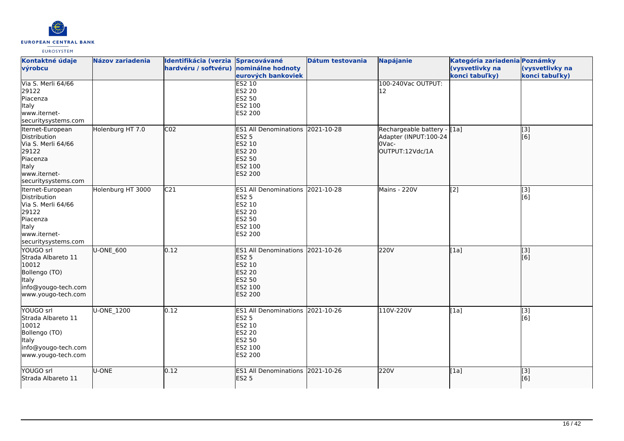

| Kontaktné údaje<br>výrobcu                                                                                                  | <b>Názov zariadenia</b> | Identifikácia (verzia Spracovávané<br>hardvéru / softvéru) nominálne hodnoty | eurových bankoviek                                                                                                 | Dátum testovania | <b>Napájanie</b>                                                                  | Kategória zariadenia Poznámky<br>(vysvetlivky na<br>konci tabuľky) | (vysvetlivky na<br>konci tabuľky) |
|-----------------------------------------------------------------------------------------------------------------------------|-------------------------|------------------------------------------------------------------------------|--------------------------------------------------------------------------------------------------------------------|------------------|-----------------------------------------------------------------------------------|--------------------------------------------------------------------|-----------------------------------|
| Via S. Merli 64/66<br>29122<br>Piacenza<br>Italy<br>www.iternet-<br>securitysystems.com                                     |                         |                                                                              | ES2 10<br><b>ES2 20</b><br>ES2 50<br>ES2 100<br>ES2 200                                                            |                  | 100-240Vac OUTPUT:<br>12                                                          |                                                                    |                                   |
| Iternet-European<br>Distribution<br>Via S. Merli 64/66<br>29122<br>Piacenza<br>ltaly<br>www.iternet-<br>securitysystems.com | Holenburg HT 7.0        | CO <sub>2</sub>                                                              | <b>ES1 All Denominations</b><br><b>ES2 5</b><br>ES2 10<br><b>ES2 20</b><br>ES2 50<br>ES2 100<br>ES2 200            | 2021-10-28       | Rechargeable battery - [[1a]<br>Adapter (INPUT:100-24<br>OVac-<br>OUTPUT:12Vdc/1A |                                                                    | [3]<br>[[6]                       |
| Iternet-European<br>Distribution<br>Via S. Merli 64/66<br>29122<br>Piacenza<br>Italy<br>www.iternet-<br>securitysystems.com | Holenburg HT 3000       | C <sub>21</sub>                                                              | <b>ES1 All Denominations</b><br><b>ES2 5</b><br>ES2 10<br><b>ES2 20</b><br>ES2 50<br>ES2 100<br>ES2 200            | 2021-10-28       | Mains - 220V                                                                      | [2]                                                                | [3]<br>[6]                        |
| YOUGO srl<br>Strada Albareto 11<br>10012<br>Bollengo (TO)<br>ltaly<br>info@yougo-tech.com<br>www.yougo-tech.com             | U-ONE_600               | 0.12                                                                         | ES1 All Denominations 2021-10-26<br><b>ES2 5</b><br>ES2 10<br><b>ES2 20</b><br>ES2 50<br>ES2 100<br><b>ES2 200</b> |                  | 220V                                                                              | [1a]                                                               | [3]<br>[[6]                       |
| YOUGO srl<br>Strada Albareto 11<br>10012<br>Bollengo (TO)<br>Italy<br>info@yougo-tech.com<br>www.yougo-tech.com             | U-ONE_1200              | 0.12                                                                         | ES1 All Denominations 2021-10-26<br><b>ES2 5</b><br>ES2 10<br><b>ES2 20</b><br><b>ES2 50</b><br>ES2 100<br>ES2 200 |                  | 110V-220V                                                                         | [1a]                                                               | [3]<br>[6]                        |
| YOUGO srl<br>Strada Albareto 11                                                                                             | U-ONE                   | 0.12                                                                         | <b>ES1 All Denominations</b><br><b>ES2 5</b>                                                                       | 2021-10-26       | 220V                                                                              | [1a]                                                               | [3]<br>[[6]                       |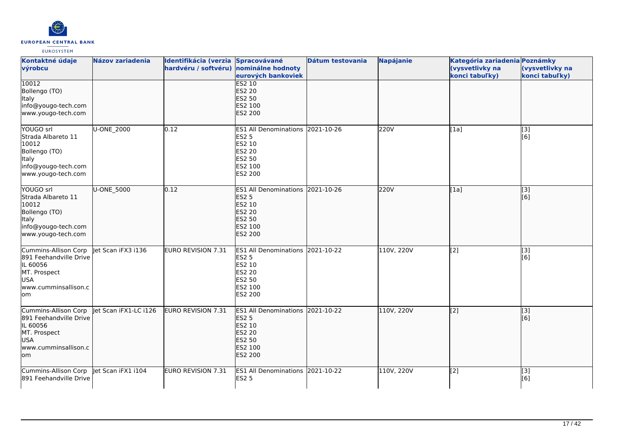

| Kontaktné údaje<br>výrobcu                                                                                              | Názov zariadenia      | Identifikácia (verzia Spracovávané<br>hardvéru / softvéru) nominálne hodnoty | eurových bankoviek                                                                                             | Dátum testovania | <b>Napájanie</b> | Kategória zariadenia Poznámky<br>(vysvetlivky na<br>konci tabuľky) | (vysvetlivky na<br>konci tabuľky) |
|-------------------------------------------------------------------------------------------------------------------------|-----------------------|------------------------------------------------------------------------------|----------------------------------------------------------------------------------------------------------------|------------------|------------------|--------------------------------------------------------------------|-----------------------------------|
| 10012<br>Bollengo (TO)<br>Italy<br>info@yougo-tech.com<br>www.yougo-tech.com                                            |                       |                                                                              | <b>ES2 10</b><br><b>ES2 20</b><br><b>ES2 50</b><br>ES2 100<br><b>ES2 200</b>                                   |                  |                  |                                                                    |                                   |
| YOUGO srl<br>Strada Albareto 11<br>10012<br>Bollengo (TO)<br>Italy<br>info@yougo-tech.com<br>www.yougo-tech.com         | U-ONE_2000            | 0.12                                                                         | <b>ES1 All Denominations</b><br><b>ES2 5</b><br>ES2 10<br><b>ES2 20</b><br><b>ES2 50</b><br>ES2 100<br>ES2 200 | 2021-10-26       | 220V             | [1a]                                                               | [3]<br>[6]                        |
| YOUGO srl<br><b>Strada Albareto 11</b><br>10012<br>Bollengo (TO)<br>Italy<br>info@yougo-tech.com<br>www.yougo-tech.com  | U-ONE 5000            | 0.12                                                                         | <b>ES1 All Denominations</b><br><b>ES2 5</b><br>ES2 10<br><b>ES2 20</b><br>ES2 50<br>ES2 100<br><b>ES2 200</b> | 2021-10-26       | 220V             | [1a]                                                               | $\overline{[}3]$<br>[[6]          |
| Cummins-Allison Corp<br>891 Feehandville Drive<br>IL 60056<br>MT. Prospect<br><b>USA</b><br>www.cumminsallison.c<br>lom | let Scan iFX3 i136    | <b>EURO REVISION 7.31</b>                                                    | ES1 All Denominations 2021-10-22<br><b>ES2 5</b><br>ES2 10<br><b>ES2 20</b><br>ES2 50<br>ES2 100<br>ES2 200    |                  | 110V, 220V       | [2]                                                                | [3]<br>[6]                        |
| Cummins-Allison Corp<br>891 Feehandville Drive<br>IL 60056<br>MT. Prospect<br>USA<br>www.cumminsallison.c<br>lom        | let Scan iFX1-LC i126 | EURO REVISION 7.31                                                           | <b>ES1 All Denominations</b><br><b>ES2 5</b><br>ES2 10<br><b>ES2 20</b><br>ES2 50<br>ES2 100<br>ES2 200        | 2021-10-22       | 110V, 220V       | [[2]                                                               | [[3]<br>[[6]                      |
| Cummins-Allison Corp<br>891 Feehandville Drive                                                                          | Jet Scan iFX1 i104    | EURO REVISION 7.31                                                           | ES1 All Denominations 2021-10-22<br><b>ES2 5</b>                                                               |                  | 110V, 220V       | [2]                                                                | [3]<br>[6]                        |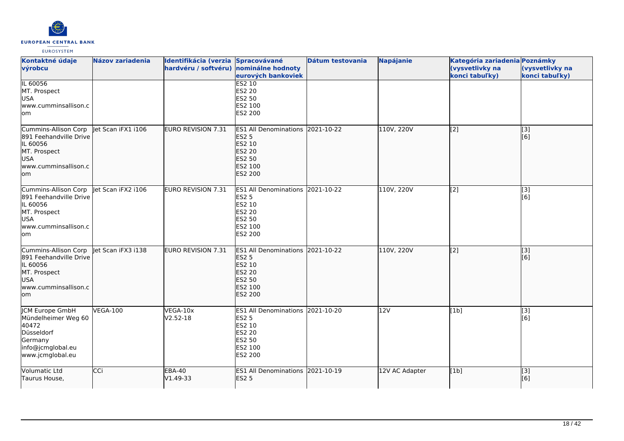

| Kontaktné údaje<br>výrobcu                                                                                              | <b>Názov zariadenia</b> | Identifikácia (verzia Spracovávané<br>hardvéru / softvéru) nominálne hodnoty | eurových bankoviek                                                                                          | Dátum testovania | <b>Napájanie</b> | Kategória zariadenia Poznámky<br>(vysvetlivky na<br>konci tabuľky) | (vysvetlivky na<br>konci tabuľky) |
|-------------------------------------------------------------------------------------------------------------------------|-------------------------|------------------------------------------------------------------------------|-------------------------------------------------------------------------------------------------------------|------------------|------------------|--------------------------------------------------------------------|-----------------------------------|
| IL 60056<br>MT. Prospect<br><b>USA</b><br>lwww.cumminsallison.c<br>lom                                                  |                         |                                                                              | <b>ES2 10</b><br><b>ES2 20</b><br>ES2 50<br>ES2 100<br>ES2 200                                              |                  |                  |                                                                    |                                   |
| Cummins-Allison Corp<br>891 Feehandville Drive<br>IL 60056<br>MT. Prospect<br><b>USA</b><br>www.cumminsallison.c<br>lom | let Scan iFX1 i106      | EURO REVISION 7.31                                                           | ES1 All Denominations 2021-10-22<br><b>ES2 5</b><br>ES2 10<br><b>ES2 20</b><br>ES2 50<br>ES2 100<br>ES2 200 |                  | 110V, 220V       | $\left[ \begin{matrix} 2 \end{matrix} \right]$                     | [3]<br>[6]                        |
| Cummins-Allison Corp<br>891 Feehandville Drive<br>IL 60056<br>MT. Prospect<br><b>USA</b><br>www.cumminsallison.c<br>lom | Jet Scan iFX2 i106      | <b>EURO REVISION 7.31</b>                                                    | ES1 All Denominations 2021-10-22<br>ES2 5<br>ES2 10<br><b>ES2 20</b><br>ES2 50<br>ES2 100<br>ES2 200        |                  | 110V, 220V       | [2]                                                                | $\overline{[3]}$<br>[6]           |
| Cummins-Allison Corp<br>891 Feehandville Drive<br>IL 60056<br>MT. Prospect<br><b>USA</b><br>www.cumminsallison.c<br>lom | let Scan iFX3 i138      | <b>EURO REVISION 7.31</b>                                                    | ES1 All Denominations 2021-10-22<br><b>ES2 5</b><br>ES2 10<br><b>ES2 20</b><br>ES2 50<br>ES2 100<br>ES2 200 |                  | 110V, 220V       | $\vert$ [2]                                                        | $\overline{[}3]$<br>[6]           |
| JCM Europe GmbH<br>Mündelheimer Weg 60<br>40472<br>Düsseldorf<br>Germany<br>info@jcmglobal.eu<br>www.jcmglobal.eu       | <b>VEGA-100</b>         | VEGA-10x<br>V2.52-18                                                         | ES1 All Denominations 2021-10-20<br><b>ES2 5</b><br>ES2 10<br><b>ES2 20</b><br>ES2 50<br>ES2 100<br>ES2 200 |                  | 12V              | [1b]                                                               | [3]<br>[6]                        |
| Volumatic Ltd<br>Taurus House,                                                                                          | CCi                     | <b>EBA-40</b><br>V1.49-33                                                    | ES1 All Denominations 2021-10-19<br><b>ES2 5</b>                                                            |                  | 12V AC Adapter   | [1b]                                                               | [3]<br>[6]                        |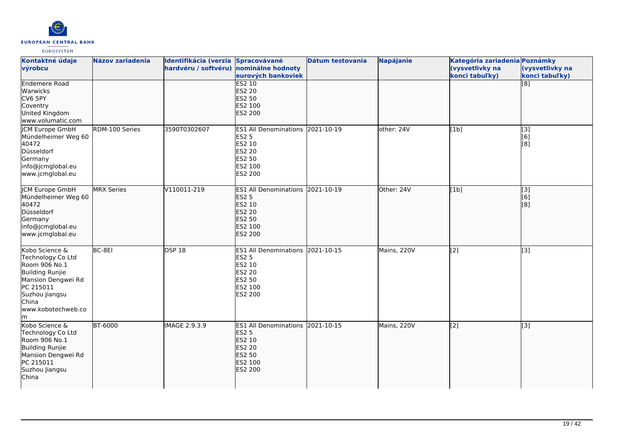

| Kontaktné údaje<br>výrobcu                                                                                                                                       | <b>Názov zariadenia</b> | Identifikácia (verzia Spracovávané<br>hardvéru / softvéru) nominálne hodnoty | eurových bankoviek                                                                                                        | Dátum testovania | <b>Napájanie</b> | Kategória zariadenia Poznámky<br>(vysvetlivky na<br>konci tabuľky) | (vysvetlivky na<br>konci tabuľky) |
|------------------------------------------------------------------------------------------------------------------------------------------------------------------|-------------------------|------------------------------------------------------------------------------|---------------------------------------------------------------------------------------------------------------------------|------------------|------------------|--------------------------------------------------------------------|-----------------------------------|
| <b>Endemere Road</b><br><b>Warwicks</b><br>CV6 5PY<br>Coventry<br>United Kingdom<br>www.volumatic.com                                                            |                         |                                                                              | <b>ES2 10</b><br><b>ES2 20</b><br>ES2 50<br>ES2 100<br><b>ES2 200</b>                                                     |                  |                  |                                                                    | $\overline{[8]}$                  |
| JCM Europe GmbH<br>Mündelheimer Weg 60<br>40472<br>Düsseldorf<br>Germany<br>info@jcmglobal.eu<br>www.jcmglobal.eu                                                | RDM-100 Series          | 3590T0302607                                                                 | <b>ES1 All Denominations</b><br><b>ES2 5</b><br>ES2 10<br><b>ES2 20</b><br><b>ES2 50</b><br>ES2 100<br>ES2 200            | 2021-10-19       | other: 24V       | [1b]                                                               | [3]<br>[6]<br>[8]                 |
| <b>JCM Europe GmbH</b><br>Mündelheimer Weg 60<br>40472<br>Düsseldorf<br>Germany<br>info@jcmglobal.eu<br>www.jcmglobal.eu                                         | <b>MRX Series</b>       | V110011-219                                                                  | ES1 All Denominations 2021-10-19<br><b>ES2 5</b><br>ES2 10<br><b>ES2 20</b><br><b>ES2 50</b><br>ES2 100<br><b>ES2 200</b> |                  | Other: 24V       | [1b]                                                               | $\overline{[}3]$<br>[6]<br>[3]    |
| Kobo Science &<br>Technology Co Ltd<br>Room 906 No.1<br>Building Runjie<br>Mansion Dengwei Rd<br>PC 215011<br>Suzhou Jiangsu<br>China<br>www.kobotechweb.co<br>m | BC-8EI                  | DSP18                                                                        | ES1 All Denominations 2021-10-15<br><b>ES2 5</b><br>ES2 10<br><b>ES2 20</b><br>ES2 50<br>ES2 100<br>ES2 200               |                  | Mains, 220V      | [2]                                                                | $\overline{[3]}$                  |
| Kobo Science &<br>Technology Co Ltd<br>Room 906 No.1<br>Building Runjie<br>Mansion Dengwei Rd<br>PC 215011<br>Suzhou Jiangsu<br>China                            | <b>BT-6000</b>          | IMAGE 2.9.3.9                                                                | <b>ES1 All Denominations</b><br><b>ES2 5</b><br>ES2 10<br><b>ES2 20</b><br>ES2 50<br>ES2 100<br>ES2 200                   | 2021-10-15       | Mains, 220V      | $\overline{[2]}$                                                   | $\overline{[}3]$                  |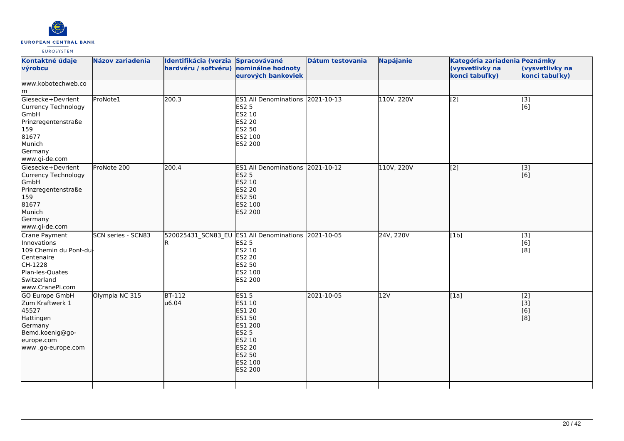

|                                             | Identifikácia (verzia | Spracovávané                                                                                                     | Dátum testovania                         | Napájanie                                                                                                                   | Kategória zariadenia Poznámky |                                       |
|---------------------------------------------|-----------------------|------------------------------------------------------------------------------------------------------------------|------------------------------------------|-----------------------------------------------------------------------------------------------------------------------------|-------------------------------|---------------------------------------|
|                                             | hardvéru / softvéru)  | nominálne hodnoty                                                                                                |                                          |                                                                                                                             | (vysvetlivky na               | (vysvetlivky na<br>konci tabuľky)     |
|                                             |                       |                                                                                                                  |                                          |                                                                                                                             |                               |                                       |
| ProNote1                                    |                       | <b>ES2 5</b><br>ES2 10<br>ES2 20<br>ES2 50<br>ES2 100<br>ES2 200                                                 |                                          | 110V, 220V                                                                                                                  | $\overline{[2]}$              | $\overline{[3]}$<br>[6]               |
| ProNote 200                                 |                       | <b>ES2 5</b><br>ES2 10<br><b>ES2 20</b><br>ES2 50<br>ES2 100<br>ES2 200                                          |                                          | 110V, 220V                                                                                                                  |                               | $\overline{[3]}$<br>[6]               |
| SCN series - SCN83<br>109 Chemin du Pont-du |                       | ES2 5<br>ES2 10<br><b>ES2 20</b><br>ES2 50<br>ES2 100<br>ES2 200                                                 |                                          | 24V, 220V                                                                                                                   | [1b]                          | [3]<br>[6]<br>[8]                     |
| Olympia NC 315                              |                       | <b>ES15</b><br>ES1 10<br><b>ES1 20</b><br>ES1 50<br><b>ES2 5</b><br>ES2 10<br><b>ES2 20</b><br>ES2 50<br>ES2 200 | 2021-10-05                               | 12V                                                                                                                         | [1a]                          | $\overline{[2]}$<br>[3]<br>[6]<br>[8] |
|                                             |                       | 200.3<br>200.4<br>$BT-112$<br>u6.04                                                                              | eurových bankoviek<br>ES1 200<br>ES2 100 | ES1 All Denominations 2021-10-13<br>ES1 All Denominations 2021-10-12<br>520025431_SCN83_EU ES1 All Denominations 2021-10-05 |                               | konci tabuľky)<br>$\overline{[2]}$    |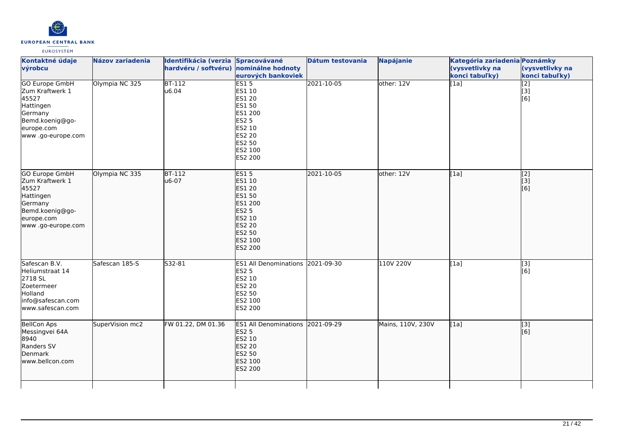

| Názov zariadenia | Identifikácia (verzia Spracovávané |                                                                             | <b>Dátum testovania</b>                                                                                                                                                                                                                                                                                                                                                                                                                                                                                                                | <b>Napájanie</b>                                                           | Kategória zariadenia Poznámky<br>(vysvetlivky na<br>konci tabuľky) | (vysvetlivky na<br>konci tabuľky)             |
|------------------|------------------------------------|-----------------------------------------------------------------------------|----------------------------------------------------------------------------------------------------------------------------------------------------------------------------------------------------------------------------------------------------------------------------------------------------------------------------------------------------------------------------------------------------------------------------------------------------------------------------------------------------------------------------------------|----------------------------------------------------------------------------|--------------------------------------------------------------------|-----------------------------------------------|
| Olympia NC 325   |                                    |                                                                             |                                                                                                                                                                                                                                                                                                                                                                                                                                                                                                                                        | other: 12V                                                                 |                                                                    | $\begin{bmatrix} 2 \\ 3 \end{bmatrix}$<br>[6] |
| Olympia NC 335   |                                    |                                                                             |                                                                                                                                                                                                                                                                                                                                                                                                                                                                                                                                        | other: 12V                                                                 | [1a]                                                               | $\begin{bmatrix} 2 \\ 3 \end{bmatrix}$<br>[6] |
| Safescan 185-S   |                                    |                                                                             |                                                                                                                                                                                                                                                                                                                                                                                                                                                                                                                                        | 110V 220V                                                                  | [1a]                                                               | $\overline{[3]}$<br>[6]                       |
| SuperVision mc2  |                                    |                                                                             |                                                                                                                                                                                                                                                                                                                                                                                                                                                                                                                                        | Mains, 110V, 230V                                                          | [1a]                                                               | [3]<br>[6]                                    |
|                  |                                    | $BT-112$<br>u6.04<br><b>BT-112</b><br>u6-07<br>S32-81<br>FW 01.22, DM 01.36 | hardvéru / softvéru) nominálne hodnoty<br>eurových bankoviek<br>ES15<br>ES1 10<br><b>ES1 20</b><br>ES1 50<br>ES1 200<br><b>ES2 5</b><br>ES2 10<br>ES2 20<br>ES2 50<br>ES2 100<br>ES2 200<br><b>ES15</b><br>ES1 10<br><b>ES1 20</b><br>ES1 50<br>ES1 200<br><b>ES2 5</b><br><b>ES2 10</b><br><b>ES2 20</b><br><b>ES2 50</b><br>ES2 100<br>ES2 200<br><b>ES2 5</b><br>ES2 10<br>ES2 20<br>ES2 50<br>ES2 100<br>ES2 200<br><b>ES1 All Denominations</b><br><b>ES2 5</b><br>ES2 10<br><b>ES2 20</b><br><b>ES2 50</b><br>ES2 100<br>ES2 200 | 2021-10-05<br>2021-10-05<br>ES1 All Denominations 2021-09-30<br>2021-09-29 |                                                                    | $\overline{[1a]}$                             |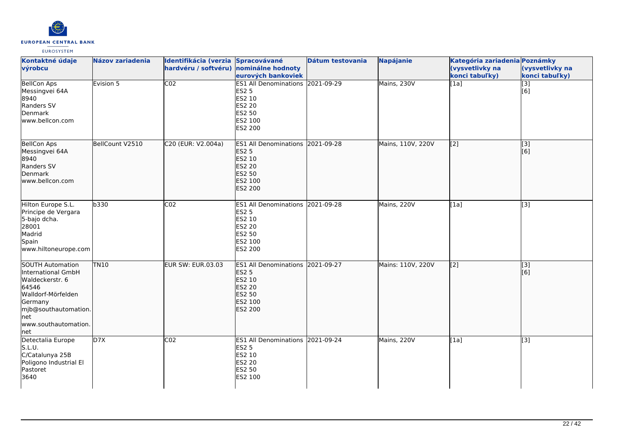

| Kontaktné údaje<br>výrobcu                                                                                                                                           | <b>Názov zariadenia</b> | Identifikácia (verzia Spracovávané<br>hardvéru / softvéru) nominálne hodnoty | eurových bankoviek                                                                                                        | Dátum testovania | Napájanie         | Kategória zariadenia Poznámky<br>(vysvetlivky na<br>konci tabuľky) | (vysvetlivky na<br>konci tabuľky) |
|----------------------------------------------------------------------------------------------------------------------------------------------------------------------|-------------------------|------------------------------------------------------------------------------|---------------------------------------------------------------------------------------------------------------------------|------------------|-------------------|--------------------------------------------------------------------|-----------------------------------|
| <b>BellCon Aps</b><br>Messingvei 64A<br>8940<br>Randers SV<br>Denmark<br>www.bellcon.com                                                                             | Evision 5               | CO <sub>2</sub>                                                              | ES1 All Denominations 2021-09-29<br><b>ES2 5</b><br>ES2 10<br>ES2 20<br>ES2 50<br>ES2 100<br>ES2 200                      |                  | Mains, 230V       | [1a]                                                               | $\overline{[3]}$<br>[6]           |
| <b>BellCon Aps</b><br>Messingvei 64A<br>8940<br>Randers SV<br>Denmark<br>www.bellcon.com                                                                             | BellCount V2510         | C20 (EUR: V2.004a)                                                           | ES1 All Denominations 2021-09-28<br><b>ES2 5</b><br>ES2 10<br>ES2 20<br><b>ES2 50</b><br>ES2 100<br>ES2 200               |                  | Mains, 110V, 220V | $\overline{[2]}$                                                   | $\overline{[3]}$<br>[6]           |
| Hilton Europe S.L.<br>Principe de Vergara<br>5-bajo dcha.<br>28001<br>Madrid<br>Spain<br>www.hiltoneurope.com                                                        | b330                    | CO <sub>2</sub>                                                              | ES1 All Denominations 2021-09-28<br><b>ES2 5</b><br>ES2 10<br><b>ES2 20</b><br>ES2 50<br>ES2 100<br>ES2 200               |                  | Mains, 220V       | [1a]                                                               | $\overline{[3]}$                  |
| SOUTH Automation<br>International GmbH<br>Waldeckerstr. 6<br>64546<br>Walldorf-Mörfelden<br>Germany<br>mjb@southautomation.<br>lnet<br>lwww.southautomation.<br>lnet | <b>TN10</b>             | EUR SW: EUR.03.03                                                            | ES1 All Denominations 2021-09-27<br><b>ES2 5</b><br>ES2 10<br><b>ES2 20</b><br><b>ES2 50</b><br>ES2 100<br><b>ES2 200</b> |                  | Mains: 110V, 220V | $\overline{[2]}$                                                   | $\overline{[}3]$<br>[6]           |
| Detectalia Europe<br>S.L.U.<br>C/Catalunya 25B<br>Poligono Industrial El<br>Pastoret<br>3640                                                                         | D7X                     | CO <sub>2</sub>                                                              | ES1 All Denominations 2021-09-24<br><b>ES2 5</b><br>ES2 10<br>ES2 20<br>ES2 50<br>ES2 100                                 |                  | Mains, 220V       | [1a]                                                               | $\overline{[3]}$                  |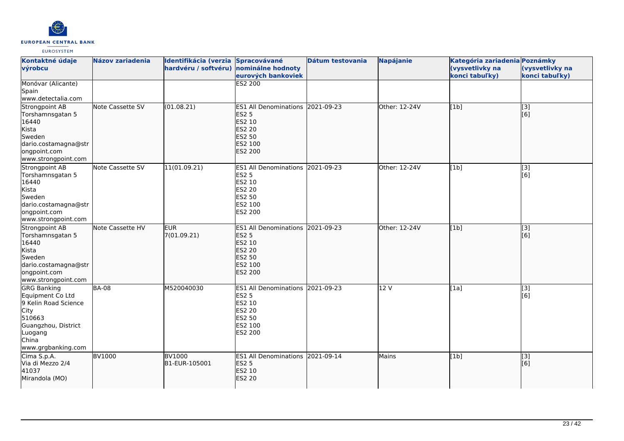

| Kontaktné údaje                                                                                                                                   | Názov zariadenia | Identifikácia (verzia Spracovávané     |                                                                                                                       | Dátum testovania | <b>Napájanie</b> | Kategória zariadenia Poznámky     |                                   |
|---------------------------------------------------------------------------------------------------------------------------------------------------|------------------|----------------------------------------|-----------------------------------------------------------------------------------------------------------------------|------------------|------------------|-----------------------------------|-----------------------------------|
| výrobcu                                                                                                                                           |                  | hardvéru / softvéru) nominálne hodnoty | eurových bankoviek                                                                                                    |                  |                  | (vysvetlivky na<br>konci tabuľky) | (vysvetlivky na<br>konci tabuľky) |
| Monóvar (Alicante)<br>Spain<br>www.detectalia.com                                                                                                 |                  |                                        | <b>ES2 200</b>                                                                                                        |                  |                  |                                   |                                   |
| Strongpoint AB<br>Torshamnsgatan 5<br>16440<br>Kista<br>Sweden<br>dario.costamagna@str<br>ongpoint.com<br>www.strongpoint.com                     | Note Cassette SV | (01.08.21)                             | ES1 All Denominations 2021-09-23<br><b>ES2 5</b><br>ES2 10<br>ES2 20<br><b>ES2 50</b><br>ES2 100<br><b>ES2 200</b>    |                  | Other: 12-24V    | [1b]                              | $\overline{[}$ [3]<br>[6]         |
| Strongpoint AB<br>Torshamnsgatan 5<br>16440<br>Kista<br>Sweden<br>dario.costamagna@str<br>ongpoint.com<br>www.strongpoint.com                     | Note Cassette SV | 11(01.09.21)                           | ES1 All Denominations 2021-09-23<br><b>ES2 5</b><br>ES2 10<br><b>ES2 20</b><br>ES2 50<br>ES2 100<br>ES2 200           |                  | Other: 12-24V    | [1b]                              | [3]<br>[6]                        |
| Strongpoint AB<br>Torshamnsgatan 5<br>16440<br>Kista<br>Sweden<br>dario.costamagna@str<br>ongpoint.com<br>www.strongpoint.com                     | Note Cassette HV | <b>EUR</b><br>7(01.09.21)              | ES1 All Denominations 2021-09-23<br><b>ES2 5</b><br>ES2 10<br>ES2 20<br><b>ES2 50</b><br>ES2 100<br><b>ES2 200</b>    |                  | Other: 12-24V    | [1b]                              | $\overline{[}3]$<br>[6]           |
| <b>GRG Banking</b><br>Equipment Co Ltd<br>9 Kelin Road Science<br>City<br>510663<br>Guangzhou, District<br>Luogang<br>China<br>www.grgbanking.com | <b>BA-08</b>     | M520040030                             | <b>ES1 All Denominations</b><br><b>ES2 5</b><br>ES2 10<br><b>ES2 20</b><br><b>ES2 50</b><br>ES2 100<br><b>ES2 200</b> | 2021-09-23       | 12 V             | [1a]                              | [3]<br>[6]                        |
| Cima S.p.A.<br>Via di Mezzo 2/4<br>41037<br>Mirandola (MO)                                                                                        | <b>BV1000</b>    | <b>BV1000</b><br>B1-EUR-105001         | ES1 All Denominations 2021-09-14<br><b>ES2 5</b><br>ES2 10<br><b>ES2 20</b>                                           |                  | <b>Mains</b>     | [1b]                              | [3]<br>[6]                        |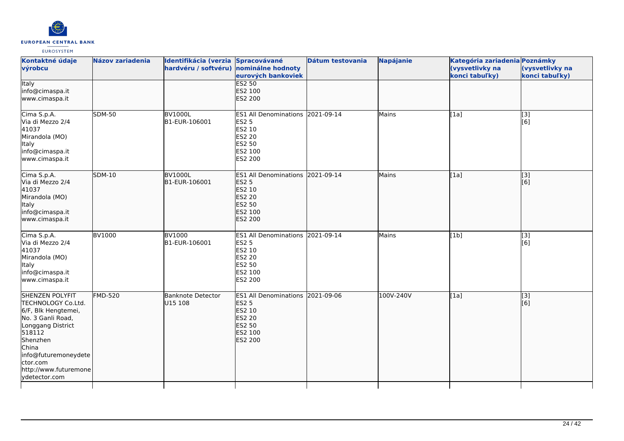

| Kontaktné údaje<br>výrobcu                                                                                                                                                                                                 | <b>Názov zariadenia</b> | <b>Identifikácia (verzia</b><br>hardvéru / softvéru) | <b>Spracovávané</b><br>nominálne hodnoty<br>eurových bankoviek                                              | Dátum testovania | <b>Napájanie</b> | Kategória zariadenia Poznámky<br>(vysvetlivky na<br>konci tabuľky) | (vysvetlivky na<br>konci tabuľky) |
|----------------------------------------------------------------------------------------------------------------------------------------------------------------------------------------------------------------------------|-------------------------|------------------------------------------------------|-------------------------------------------------------------------------------------------------------------|------------------|------------------|--------------------------------------------------------------------|-----------------------------------|
| Italy<br>info@cimaspa.it<br>www.cimaspa.it                                                                                                                                                                                 |                         |                                                      | <b>ES2 50</b><br>ES2 100<br>ES2 200                                                                         |                  |                  |                                                                    |                                   |
| Cima S.p.A.<br>Via di Mezzo 2/4<br>41037<br>Mirandola (MO)<br>Italy<br>info@cimaspa.it<br>www.cimaspa.it                                                                                                                   | <b>SDM-50</b>           | <b>BV1000L</b><br>B1-EUR-106001                      | ES1 All Denominations 2021-09-14<br>ES2 5<br>ES2 10<br>ES2 20<br>ES2 50<br>ES2 100<br>ES2 200               |                  | Mains            | [1a]                                                               | [3]<br>[6]                        |
| Cima S.p.A.<br>Via di Mezzo 2/4<br>41037<br>Mirandola (MO)<br><b>Italy</b><br>info@cimaspa.it<br>www.cimaspa.it                                                                                                            | <b>SDM-10</b>           | <b>BV1000L</b><br>B1-EUR-106001                      | ES1 All Denominations 2021-09-14<br><b>ES2 5</b><br>ES2 10<br><b>ES2 20</b><br>ES2 50<br>ES2 100<br>ES2 200 |                  | Mains            | [1a]                                                               | [3]<br>[6]                        |
| Cima S.p.A.<br>Via di Mezzo 2/4<br>41037<br>Mirandola (MO)<br>Italy<br>info@cimaspa.it<br>www.cimaspa.it                                                                                                                   | <b>BV1000</b>           | <b>BV1000</b><br>B1-EUR-106001                       | ES1 All Denominations 2021-09-14<br><b>ES2 5</b><br>ES2 10<br>ES2 20<br>ES2 50<br>ES2 100<br>ES2 200        |                  | Mains            | [1b]                                                               | [3]<br>[6]                        |
| <b>SHENZEN POLYFIT</b><br>TECHNOLOGY Co.Ltd.<br>6/F, Blk Hengtemei,<br>No. 3 Ganli Road,<br>Longgang District<br>518112<br>Shenzhen<br>China<br>info@futuremoneydete<br>ctor.com<br>http://www.futuremone<br>ydetector.com | <b>FMD-520</b>          | <b>Banknote Detector</b><br>U15 108                  | ES1 All Denominations 2021-09-06<br><b>ES2 5</b><br>ES2 10<br><b>ES2 20</b><br>ES2 50<br>ES2 100<br>ES2 200 |                  | 100V-240V        | [1a]                                                               | $\overline{[}3]$<br>[6]           |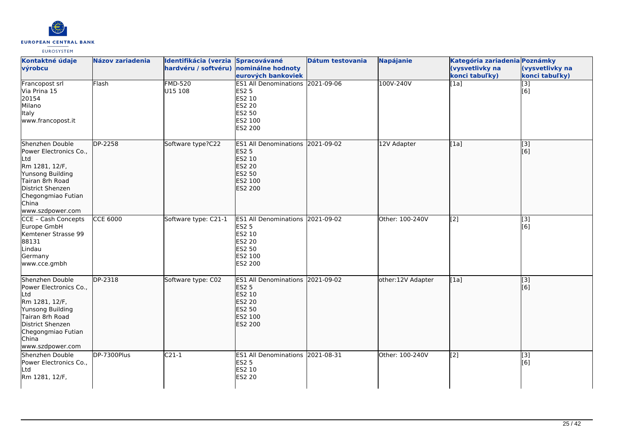

| Kontaktné údaje<br>výrobcu                                                                                                                                                       | Názov zariadenia | Identifikácia (verzia Spracovávané<br>hardvéru / softvéru) nominálne hodnoty | eurových bankoviek                                                                                                    | Dátum testovania | <b>Napájanie</b>  | Kategória zariadenia Poznámky<br>(vysvetlivky na<br>konci tabuľky) | (vysvetlivky na<br>konci tabuľky) |
|----------------------------------------------------------------------------------------------------------------------------------------------------------------------------------|------------------|------------------------------------------------------------------------------|-----------------------------------------------------------------------------------------------------------------------|------------------|-------------------|--------------------------------------------------------------------|-----------------------------------|
| Francopost srl<br>Via Prina 15<br>20154<br>Milano<br>Italy<br>www.francopost.it                                                                                                  | Flash            | <b>FMD-520</b><br>U15 108                                                    | ES1 All Denominations 2021-09-06<br><b>ES2 5</b><br>ES2 10<br><b>ES2 20</b><br><b>ES2 50</b><br>ES2 100<br>ES2 200    |                  | 100V-240V         | [1a]                                                               | $\overline{[}3]$<br>[6]           |
| Shenzhen Double<br>Power Electronics Co.,<br>Ltd<br>Rm 1281, 12/F,<br>Yunsong Building<br>Tairan 8rh Road<br>District Shenzen<br>Chegongmiao Futian<br>China<br>www.szdpower.com | DP-2258          | Software type?C22                                                            | ES1 All Denominations 2021-09-02<br><b>ES2 5</b><br>ES2 10<br><b>ES2 20</b><br>ES2 50<br>ES2 100<br><b>ES2 200</b>    |                  | 12V Adapter       | [1a]                                                               | $\overline{[}$ [3]<br>[[6]        |
| CCE - Cash Concepts<br>Europe GmbH<br>Kemtener Strasse 99<br>88131<br>Lindau<br>Germany<br>www.cce.gmbh                                                                          | <b>CCE 6000</b>  | Software type: C21-1                                                         | ES1 All Denominations 2021-09-02<br><b>ES2 5</b><br>ES2 10<br><b>ES2 20</b><br>ES2 50<br>ES2 100<br><b>ES2 200</b>    |                  | Other: 100-240V   | [2]                                                                | [3]<br>[6]                        |
| Shenzhen Double<br>Power Electronics Co.,<br>Ltd<br>Rm 1281, 12/F,<br>Yunsong Building<br>Tairan 8rh Road<br>District Shenzen<br>Chegongmiao Futian<br>China<br>www.szdpower.com | DP-2318          | Software type: C02                                                           | <b>ES1 All Denominations</b><br><b>ES2 5</b><br>ES2 10<br><b>ES2 20</b><br><b>ES2 50</b><br>ES2 100<br><b>ES2 200</b> | 2021-09-02       | other:12V Adapter | [1a]                                                               | [[3]<br>[[6]                      |
| Shenzhen Double<br>Power Electronics Co.,<br>Ltd<br>Rm 1281, 12/F,                                                                                                               | DP-7300Plus      | $C21-1$                                                                      | ES1 All Denominations 2021-08-31<br><b>ES2 5</b><br>ES2 10<br><b>ES2 20</b>                                           |                  | Other: 100-240V   | [2]                                                                | [3]<br>[6]                        |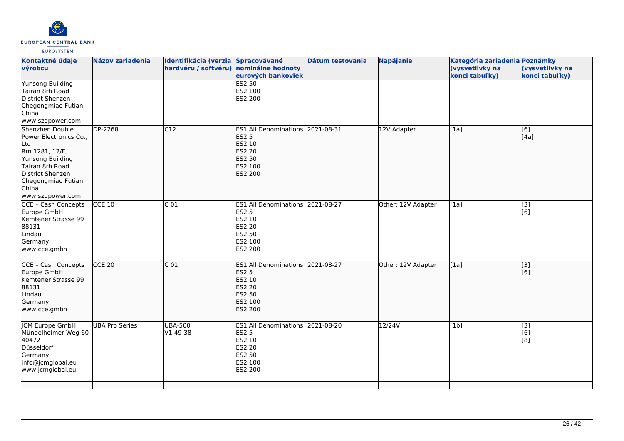

| Kontaktné údaje<br>výrobcu                                                                                                                                                       | Názov zariadenia      | Identifikácia (verzia Spracovávané<br>hardvéru / softvéru) nominálne hodnoty | eurových bankoviek                                                                                                 | Dátum testovania | <b>Napájanie</b>   | Kategória zariadenia Poznámky<br>(vysvetlivky na<br>konci tabuľky) | (vysvetlivky na<br>konci tabuľky) |
|----------------------------------------------------------------------------------------------------------------------------------------------------------------------------------|-----------------------|------------------------------------------------------------------------------|--------------------------------------------------------------------------------------------------------------------|------------------|--------------------|--------------------------------------------------------------------|-----------------------------------|
| <b>Yunsong Building</b><br>Tairan 8rh Road<br>District Shenzen<br>Chegongmiao Futian<br>China<br>www.szdpower.com                                                                |                       |                                                                              | <b>ES2 50</b><br>ES2 100<br>ES2 200                                                                                |                  |                    |                                                                    |                                   |
| Shenzhen Double<br>Power Electronics Co.,<br>Ltd<br>Rm 1281, 12/F,<br>Yunsong Building<br>Tairan 8rh Road<br>District Shenzen<br>Chegongmiao Futian<br>China<br>www.szdpower.com | $\overline{DP}$ -2268 | C12                                                                          | ES1 All Denominations 2021-08-31<br><b>ES2 5</b><br>ES2 10<br><b>ES2 20</b><br>ES2 50<br>ES2 100<br>ES2 200        |                  | 12V Adapter        | [1a]                                                               | [6]<br>[[4a]                      |
| CCE - Cash Concepts<br>Europe GmbH<br>Kemtener Strasse 99<br>88131<br>Lindau<br>Germany<br>www.cce.gmbh                                                                          | $CCE$ 10              | C <sub>01</sub>                                                              | ES1 All Denominations 2021-08-27<br><b>ES2 5</b><br>ES2 10<br><b>ES2 20</b><br>ES2 50<br>ES2 100<br>ES2 200        |                  | Other: 12V Adapter | [1a]                                                               | [3]<br>[6]                        |
| CCE - Cash Concepts<br>Europe GmbH<br>Kemtener Strasse 99<br>88131<br>Lindau<br>Germany<br>www.cce.gmbh                                                                          | CCE <sub>20</sub>     | $\overline{C}$ 01                                                            | ES1 All Denominations 2021-08-27<br><b>ES2 5</b><br>ES2 10<br><b>ES2 20</b><br><b>ES2 50</b><br>ES2 100<br>ES2 200 |                  | Other: 12V Adapter | [1a]                                                               | $\overline{[}3]$<br>[6]           |
| JCM Europe GmbH<br>Mündelheimer Weg 60<br>40472<br>Düsseldorf<br>Germany<br>info@jcmglobal.eu<br>www.jcmglobal.eu                                                                | <b>UBA Pro Series</b> | UBA-500<br>V1.49-38                                                          | ES1 All Denominations 2021-08-20<br><b>ES2 5</b><br>ES2 10<br><b>ES2 20</b><br><b>ES2 50</b><br>ES2 100<br>ES2 200 |                  | 12/24V             | [1b]                                                               | $\overline{[}3]$<br>[6]<br>[8]    |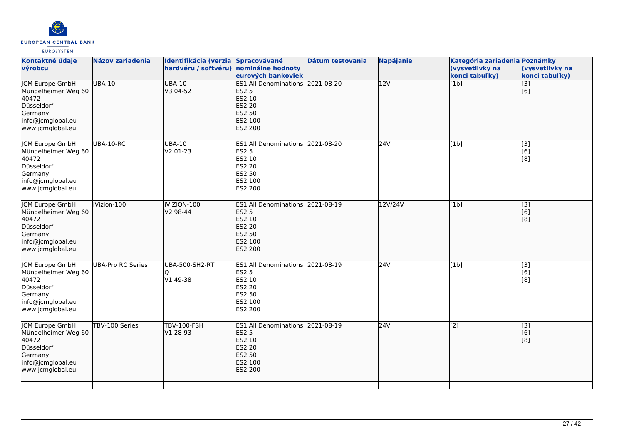

| Kontaktné údaje<br>výrobcu                                                                                               | <b>Názov zariadenia</b> | Identifikácia (verzia Spracovávané<br>hardvéru / softvéru) nominálne hodnoty | eurových bankoviek                                                                                                 | Dátum testovania | <b>Napájanie</b> | Kategória zariadenia Poznámky<br>(vysvetlivky na<br>konci tabuľky) | (vysvetlivky na<br>konci tabuľky) |
|--------------------------------------------------------------------------------------------------------------------------|-------------------------|------------------------------------------------------------------------------|--------------------------------------------------------------------------------------------------------------------|------------------|------------------|--------------------------------------------------------------------|-----------------------------------|
| <b>JCM Europe GmbH</b><br>Mündelheimer Weg 60<br>40472<br>Düsseldorf<br>Germany<br>info@jcmglobal.eu<br>www.jcmglobal.eu | <b>UBA-10</b>           | <b>UBA-10</b><br>V3.04-52                                                    | ES1 All Denominations 2021-08-20<br><b>ES2 5</b><br>ES2 10<br><b>ES2 20</b><br><b>ES2 50</b><br>ES2 100<br>ES2 200 |                  | 12V              | [1b]                                                               | $\overline{[3]}$<br>[6]           |
| JCM Europe GmbH<br>Mündelheimer Weg 60<br>40472<br>Düsseldorf<br>Germany<br>info@jcmglobal.eu<br>www.jcmglobal.eu        | UBA-10-RC               | <b>UBA-10</b><br>V2.01-23                                                    | ES1 All Denominations 2021-08-20<br><b>ES2 5</b><br>ES2 10<br><b>ES2 20</b><br>ES2 50<br>ES2 100<br>ES2 200        |                  | 24V              | [1b]                                                               | $[3]$<br>[6]<br>[8]               |
| JCM Europe GmbH<br>Mündelheimer Weg 60<br>40472<br>Düsseldorf<br>Germany<br>info@jcmglobal.eu<br>www.jcmglobal.eu        | iVizion-100             | iVIZION-100<br>V2.98-44                                                      | <b>ES1 All Denominations</b><br><b>ES2 5</b><br>ES2 10<br><b>ES2 20</b><br>ES2 50<br>ES2 100<br>ES2 200            | 2021-08-19       | 12V/24V          | [1b]                                                               | [3]<br>[6]<br>[8]                 |
| <b>JCM Europe GmbH</b><br>Mündelheimer Weg 60<br>40472<br>Düsseldorf<br>Germany<br>info@jcmglobal.eu<br>www.jcmglobal.eu | UBA-Pro RC Series       | <b>UBA-500-SH2-RT</b><br>V1.49-38                                            | ES1 All Denominations 2021-08-19<br><b>ES2 5</b><br>ES2 10<br><b>ES2 20</b><br>ES2 50<br>ES2 100<br>ES2 200        |                  | 24V              | [1b]                                                               | $\overline{[}3]$<br>[6]<br>[8]    |
| <b>JCM Europe GmbH</b><br>Mündelheimer Weg 60<br>40472<br>Düsseldorf<br>Germany<br>info@jcmglobal.eu<br>www.jcmglobal.eu | TBV-100 Series          | <b>TBV-100-FSH</b><br>V1.28-93                                               | ES1 All Denominations 2021-08-19<br><b>ES2 5</b><br>ES2 10<br><b>ES2 20</b><br>ES2 50<br>ES2 100<br><b>ES2 200</b> |                  | 24V              | [2]                                                                | [3]<br>[6]<br>[8]                 |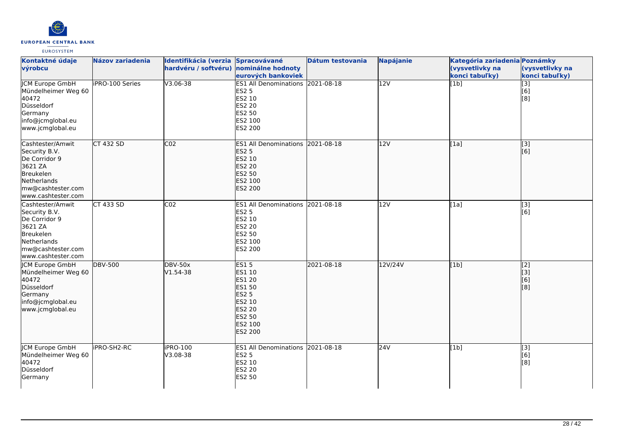

| Kontaktné údaje<br>výrobcu                                                                                                           | Názov zariadenia       | Identifikácia (verzia Spracovávané<br>hardvéru / softvéru) | nominálne hodnoty                                                                                                           | Dátum testovania | <b>Napájanie</b> | Kategória zariadenia Poznámky<br>(vysvetlivky na | (vysvetlivky na                                                                                                |
|--------------------------------------------------------------------------------------------------------------------------------------|------------------------|------------------------------------------------------------|-----------------------------------------------------------------------------------------------------------------------------|------------------|------------------|--------------------------------------------------|----------------------------------------------------------------------------------------------------------------|
|                                                                                                                                      |                        |                                                            | eurových bankoviek                                                                                                          |                  |                  | konci tabuľky)                                   | konci tabuľky)                                                                                                 |
| <b>JCM Europe GmbH</b><br>Mündelheimer Weg 60<br>40472<br>Düsseldorf<br>Germany<br>info@jcmglobal.eu<br>www.jcmglobal.eu             | <b>IPRO-100 Series</b> | V3.06-38                                                   | ES1 All Denominations 2021-08-18<br><b>ES2 5</b><br>ES2 10<br><b>ES2 20</b><br>ES2 50<br>ES2 100<br>ES2 200                 |                  | $\overline{12V}$ | [1b]                                             | $\begin{bmatrix} 3 \\ 6 \end{bmatrix}$<br>[8]                                                                  |
| Cashtester/Amwit<br>Security B.V.<br>De Corridor 9<br>3621 ZA<br>Breukelen<br>Netherlands<br>mw@cashtester.com<br>www.cashtester.com | <b>CT 432 SD</b>       | CO <sub>2</sub>                                            | ES1 All Denominations 2021-08-18<br><b>ES2 5</b><br>ES2 10<br><b>ES2 20</b><br><b>ES2 50</b><br>ES2 100<br><b>ES2 200</b>   |                  | 12V              | [1a]                                             | [3]<br>[6]                                                                                                     |
| Cashtester/Amwit<br>Security B.V.<br>De Corridor 9<br>3621 ZA<br>Breukelen<br>Netherlands<br>mw@cashtester.com<br>www.cashtester.com | CT 433 SD              | CO <sub>2</sub>                                            | ES1 All Denominations 2021-08-18<br><b>ES2 5</b><br>ES2 10<br>ES2 20<br>ES2 50<br>ES2 100<br>ES2 200                        |                  | 12V              | [1a]                                             | [3]<br>[6]                                                                                                     |
| <b>ICM Europe GmbH</b><br>Mündelheimer Weg 60<br>40472<br>Düsseldorf<br>Germany<br>info@jcmglobal.eu<br>www.jcmglobal.eu             | <b>DBV-500</b>         | <b>DBV-50x</b><br>$V1.54-38$                               | <b>ES15</b><br>ES1 10<br><b>ES1 20</b><br>ES1 50<br><b>ES2 5</b><br>ES2 10<br>ES2 20<br>ES2 50<br>ES2 100<br><b>ES2 200</b> | 2021-08-18       | 12V/24V          | [1b]                                             | $\overline{[2]}$<br><u>[iз</u><br>[6]<br>$\left[ \begin{smallmatrix} 1 & 0 \\ 0 & 1 \end{smallmatrix} \right]$ |
| <b>JCM Europe GmbH</b><br>Mündelheimer Weg 60<br>40472<br>Düsseldorf<br>Germany                                                      | iPRO-SH2-RC            | iPRO-100<br>V3.08-38                                       | ES1 All Denominations 2021-08-18<br><b>ES2 5</b><br>ES2 10<br>ES2 20<br>ES2 50                                              |                  | 24V              | [1b]                                             | $\begin{bmatrix} 3 \\ 6 \end{bmatrix}$<br>[8]                                                                  |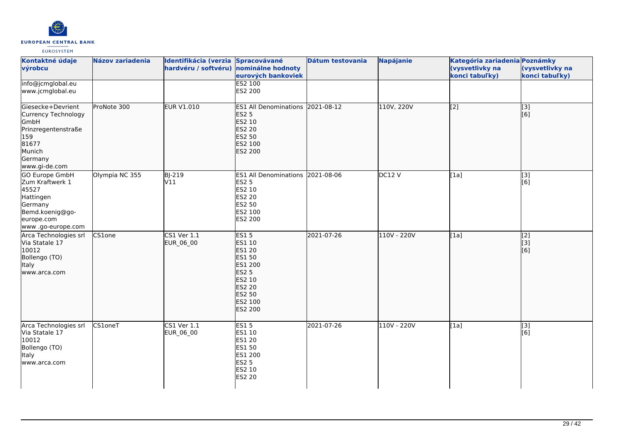

| Kontaktné údaje<br>výrobcu                                                                                                                | <b>Názov zariadenia</b> | Identifikácia (verzia<br>hardvéru / softvéru) | Spracovávané<br>nominálne hodnoty<br>eurových bankoviek                                                                         | <b>Dátum testovania</b> | <b>Napájanie</b> | Kategória zariadenia Poznámky<br>(vysvetlivky na<br>konci tabuľky) | (vysvetlivky na<br>konci tabuľky)             |
|-------------------------------------------------------------------------------------------------------------------------------------------|-------------------------|-----------------------------------------------|---------------------------------------------------------------------------------------------------------------------------------|-------------------------|------------------|--------------------------------------------------------------------|-----------------------------------------------|
| info@jcmglobal.eu<br>www.jcmglobal.eu                                                                                                     |                         |                                               | <b>ES2 100</b><br>ES2 200                                                                                                       |                         |                  |                                                                    |                                               |
| Giesecke+Devrient<br>Currency Technology<br>GmbH<br>Prinzregentenstraße<br>159<br>81677<br>Munich<br>Germany                              | ProNote 300             | <b>EUR V1.010</b>                             | ES1 All Denominations 2021-08-12<br><b>ES2 5</b><br>ES2 10<br><b>ES2 20</b><br>ES2 50<br>ES2 100<br><b>ES2 200</b>              |                         | 110V, 220V       | $\overline{[2]}$                                                   | $\sqrt{3}$<br>[6]                             |
| www.gi-de.com<br>GO Europe GmbH<br>Zum Kraftwerk 1<br>45527<br>Hattingen<br>Germany<br>Bemd.koenig@go-<br>europe.com<br>www.go-europe.com | Olympia NC 355          | BJ-219<br>V11                                 | ES1 All Denominations 2021-08-06<br><b>ES2 5</b><br>ES2 10<br>ES2 20<br>ES2 50<br>ES2 100<br>ES2 200                            |                         | DC12V            | [1a]                                                               | $\overline{[3]}$<br>[6]                       |
| Arca Technologies srl<br>Via Statale 17<br>10012<br>Bollengo (TO)<br>Italy<br>www.arca.com                                                | CS1one                  | <b>CS1 Ver 1.1</b><br>EUR_06_00               | <b>ES15</b><br>ES1 10<br>ES1 20<br>ES1 50<br>ES1 200<br><b>ES2 5</b><br>ES2 10<br><b>ES2 20</b><br>ES2 50<br>ES2 100<br>ES2 200 | 2021-07-26              | 110V - 220V      | [1a]                                                               | $\begin{bmatrix} 2 \\ 3 \end{bmatrix}$<br>[6] |
| Arca Technologies srl<br>Via Statale 17<br>10012<br>Bollengo (TO)<br>Italy<br>www.arca.com                                                | CS1oneT                 | $CS1$ Ver $1.1$<br>EUR_06_00                  | <b>ES15</b><br>ES1 10<br>ES1 20<br>ES1 50<br>ES1 200<br><b>ES2 5</b><br>ES2 10<br>ES2 20                                        | 2021-07-26              | 110V - 220V      | [1a]                                                               | $[3]$<br>$\overline{[}6\overline{]}$          |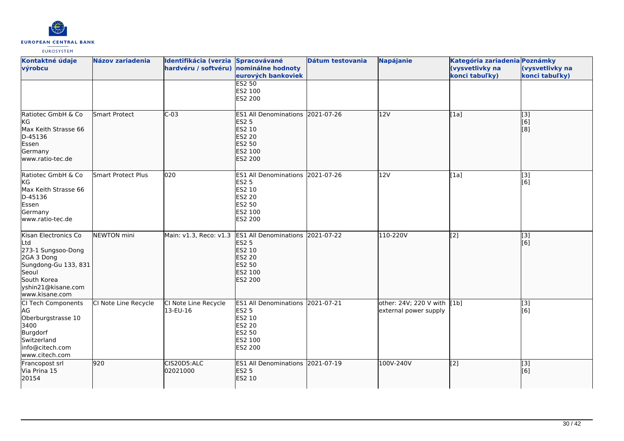

| Kontaktné údaje<br>výrobcu                                                                                                                              | <b>Názov zariadenia</b>   | Identifikácia (verzia Spracovávané<br>hardvéru / softvéru) nominálne hodnoty | eurových bankoviek<br><b>ES2 50</b>                                                                                       | Dátum testovania | <b>Napájanie</b>                                     | Kategória zariadenia Poznámky<br>(vysvetlivky na<br>konci tabuľky) | (vysvetlivky na<br>konci tabuľky) |
|---------------------------------------------------------------------------------------------------------------------------------------------------------|---------------------------|------------------------------------------------------------------------------|---------------------------------------------------------------------------------------------------------------------------|------------------|------------------------------------------------------|--------------------------------------------------------------------|-----------------------------------|
|                                                                                                                                                         |                           |                                                                              | ES2 100<br>ES2 200                                                                                                        |                  |                                                      |                                                                    |                                   |
| Ratiotec GmbH & Co<br>kg<br>Max Keith Strasse 66<br>D-45136<br>Essen<br>Germany<br>lwww.ratio-tec.de                                                    | <b>Smart Protect</b>      | $C-03$                                                                       | ES1 All Denominations 2021-07-26<br><b>ES2 5</b><br>ES2 10<br>ES2 20<br>ES2 50<br>ES2 100<br><b>ES2 200</b>               |                  | 12V                                                  | [1a]                                                               | $\overline{[}3]$<br>[6]<br>[8]    |
| Ratiotec GmbH & Co<br><b>KG</b><br>Max Keith Strasse 66<br>D-45136<br>Essen<br>Germany<br>www.ratio-tec.de                                              | <b>Smart Protect Plus</b> | 020                                                                          | ES1 All Denominations 2021-07-26<br><b>ES2 5</b><br>ES2 10<br><b>ES2 20</b><br>ES2 50<br>ES2 100<br>ES2 200               |                  | 12V                                                  | [1a]                                                               | $\overline{[}3]$<br>[6]           |
| Kisan Electronics Co<br>Ltd<br>273-1 Sungsoo-Dong<br>2GA 3 Dong<br>Sungdong-Gu 133, 831<br>Seoul<br>South Korea<br>yshin21@kisane.com<br>www.kisane.com | <b>NEWTON</b> mini        | Main: v1.3, Reco: v1.3                                                       | ES1 All Denominations 2021-07-22<br><b>ES2 5</b><br>ES2 10<br><b>ES2 20</b><br><b>ES2 50</b><br>ES2 100<br><b>ES2 200</b> |                  | 110-220V                                             | $\overline{[2]}$                                                   | [[3]<br>[[6]                      |
| CI Tech Components<br>AG<br>Oberburgstrasse 10<br>3400<br>Burgdorf<br>Switzerland<br>info@citech.com<br>www.citech.com                                  | CI Note Line Recycle      | CI Note Line Recycle<br>13-EU-16                                             | ES1 All Denominations 2021-07-21<br><b>ES2 5</b><br>ES2 10<br>ES2 20<br>ES2 50<br>ES2 100<br>ES2 200                      |                  | other: 24V; 220 V with [1b]<br>external power supply |                                                                    | [3]<br>[6]                        |
| Francopost srl<br>Via Prina 15<br>20154                                                                                                                 | 920                       | CIS20D5:ALC<br>02021000                                                      | ES1 All Denominations 2021-07-19<br><b>ES2 5</b><br>ES2 10                                                                |                  | 100V-240V                                            | $\left[$ [2]                                                       | [3]<br>[6]                        |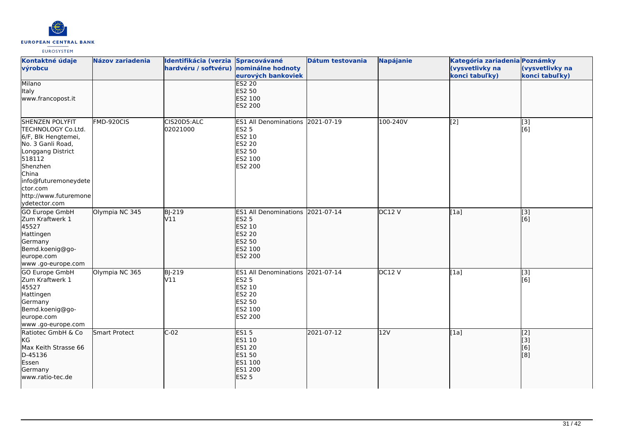

| Kontaktné údaje<br>výrobcu                                                                                                                                                                                                 | <b>Názov zariadenia</b> | Identifikácia (verzia Spracovávané<br>hardvéru / softvéru) nominálne hodnoty | eurových bankoviek                                                                                             | Dátum testovania | <b>Napájanie</b> | Kategória zariadenia Poznámky<br>(vysvetlivky na<br>konci tabuľky) | (vysvetlivky na<br>konci tabuľky) |
|----------------------------------------------------------------------------------------------------------------------------------------------------------------------------------------------------------------------------|-------------------------|------------------------------------------------------------------------------|----------------------------------------------------------------------------------------------------------------|------------------|------------------|--------------------------------------------------------------------|-----------------------------------|
| Milano<br><b>Italy</b><br>www.francopost.it                                                                                                                                                                                |                         |                                                                              | <b>ES2 20</b><br><b>ES2 50</b><br>ES2 100<br>ES2 200                                                           |                  |                  |                                                                    |                                   |
| <b>SHENZEN POLYFIT</b><br>TECHNOLOGY Co.Ltd.<br>6/F, Blk Hengtemei,<br>No. 3 Ganli Road,<br>Longgang District<br>518112<br>Shenzhen<br>China<br>info@futuremoneydete<br>ctor.com<br>http://www.futuremone<br>ydetector.com | FMD-920CIS              | CIS20D5:ALC<br>02021000                                                      | ES1 All Denominations 2021-07-19<br><b>ES2 5</b><br>ES2 10<br>ES2 20<br>ES2 50<br>ES2 100<br>ES2 200           |                  | 100-240V         | [2]                                                                | [3]<br>[6]                        |
| <b>GO Europe GmbH</b><br>Zum Kraftwerk 1<br>45527<br>Hattingen<br>Germany<br>Bemd.koenig@go-<br>europe.com<br>www .go-europe.com                                                                                           | Olympia NC 345          | <b>BJ-219</b><br>V11                                                         | <b>ES1 All Denominations</b><br><b>ES2 5</b><br>ES2 10<br><b>ES2 20</b><br><b>ES2 50</b><br>ES2 100<br>ES2 200 | 2021-07-14       | DC12 V           | [1a]                                                               | $\overline{[}3]$<br>[6]           |
| GO Europe GmbH<br>Zum Kraftwerk 1<br>45527<br>Hattingen<br>Germany<br>Bemd.koenig@go-<br>europe.com<br>www.go-europe.com                                                                                                   | Olympia NC 365          | <b>BJ-219</b><br>V11                                                         | ES1 All Denominations 2021-07-14<br><b>ES2 5</b><br>ES2 10<br>ES2 20<br>ES2 50<br>ES2 100<br>ES2 200           |                  | DC12V            | [1a]                                                               | [3]<br>[6]                        |
| Ratiotec GmbH & Co<br>KG<br>Max Keith Strasse 66<br>D-45136<br>Essen<br>Germany<br>www.ratio-tec.de                                                                                                                        | <b>Smart Protect</b>    | $C-02$                                                                       | <b>ES15</b><br><b>ES1 10</b><br><b>ES1 20</b><br><b>ES1 50</b><br>ES1 100<br>ES1 200<br><b>ES2 5</b>           | 2021-07-12       | 12V              | [1a]                                                               | [2]<br>[[3]<br>[6]<br>[8]         |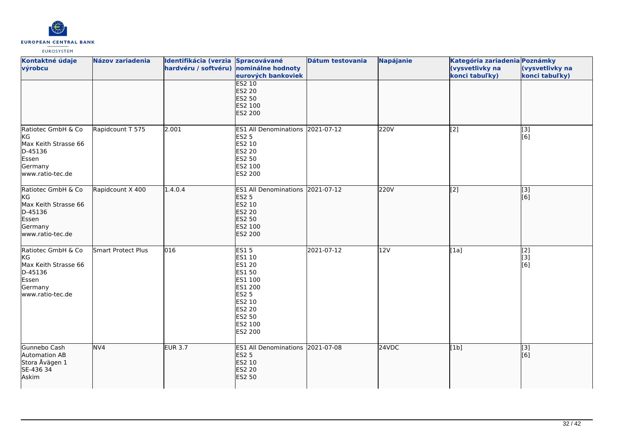

| Kontaktné údaje<br>výrobcu                                                                                 | Názov zariadenia   | Identifikácia (verzia Spracovávané<br>hardvéru / softvéru) nominálne hodnoty | eurových bankoviek                                                                                                                  | Dátum testovania | Napájanie | Kategória zariadenia Poznámky<br>(vysvetlivky na<br>konci tabuľky) | (vysvetlivky na<br>konci tabuľky)  |
|------------------------------------------------------------------------------------------------------------|--------------------|------------------------------------------------------------------------------|-------------------------------------------------------------------------------------------------------------------------------------|------------------|-----------|--------------------------------------------------------------------|------------------------------------|
|                                                                                                            |                    |                                                                              | <b>ES2 10</b><br>ES2 20<br>ES2 50<br>ES2 100<br>ES2 200                                                                             |                  |           |                                                                    |                                    |
| Ratiotec GmbH & Co<br>KG<br>Max Keith Strasse 66<br>D-45136<br>Essen<br>Germany<br>www.ratio-tec.de        | Rapidcount T 575   | 2.001                                                                        | ES1 All Denominations 2021-07-12<br>ES2 5<br>ES2 10<br>ES2 20<br>ES2 50<br>ES2 100<br>ES2 200                                       |                  | 220V      | [2]                                                                | [3]<br>$\overline{[}6\overline{]}$ |
| Ratiotec GmbH & Co<br><b>KG</b><br>Max Keith Strasse 66<br>D-45136<br>Essen<br>Germany<br>www.ratio-tec.de | Rapidcount X 400   | 1.4.0.4                                                                      | ES1 All Denominations 2021-07-12<br><b>ES2 5</b><br>ES2 10<br>ES2 20<br>ES2 50<br>ES2 100<br>ES2 200                                |                  | 220V      | $\overline{[2]}$                                                   | [3]<br>[6]                         |
| Ratiotec GmbH & Co<br>KG<br>Max Keith Strasse 66<br>D-45136<br>Essen<br>Germany<br>www.ratio-tec.de        | Smart Protect Plus | 016                                                                          | <b>ES15</b><br>ES1 10<br>ES1 20<br>ES1 50<br>ES1 100<br>ES1 200<br><b>ES2 5</b><br>ES2 10<br>ES2 20<br>ES2 50<br>ES2 100<br>ES2 200 | 2021-07-12       | 12V       | [1a]                                                               | $\overline{[2]}$<br>[3]<br>[6]     |
| Gunnebo Cash<br>Automation AB<br>Stora Åvägen 1<br>SE-436 34<br>Askim                                      | NV <sub>4</sub>    | <b>EUR 3.7</b>                                                               | ES1 All Denominations 2021-07-08<br><b>ES2 5</b><br>ES2 10<br>ES2 20<br><b>ES2 50</b>                                               |                  | 24VDC     | [1b]                                                               | [3]<br>[6]                         |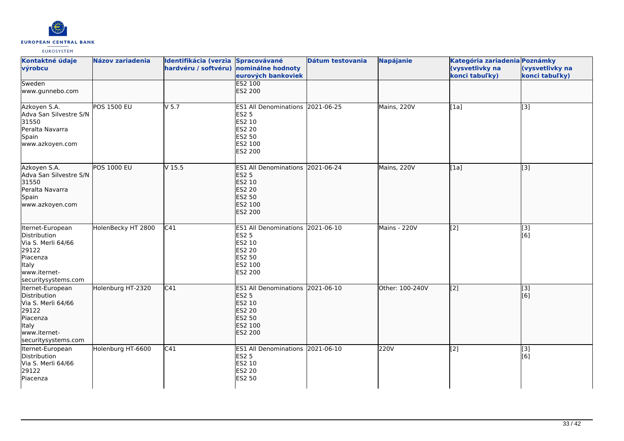

| Kontaktné údaje                                                                                                                    | Názov zariadenia   | Identifikácia (verzia Spracovávané |                                                                                                                    | Dátum testovania | <b>Napájanie</b> | Kategória zariadenia Poznámky     |                                   |
|------------------------------------------------------------------------------------------------------------------------------------|--------------------|------------------------------------|--------------------------------------------------------------------------------------------------------------------|------------------|------------------|-----------------------------------|-----------------------------------|
| výrobcu                                                                                                                            |                    | hardvéru / softvéru)               | nominálne hodnoty<br>eurových bankoviek                                                                            |                  |                  | (vysvetlivky na<br>konci tabuľky) | (vysvetlivky na<br>konci tabuľky) |
| Sweden<br>www.gunnebo.com                                                                                                          |                    |                                    | <b>ES2 100</b><br>ES2 200                                                                                          |                  |                  |                                   |                                   |
| Azkoyen S.A.<br>Adva San Silvestre S/N<br>31550<br>Peralta Navarra<br>Spain<br>www.azkoyen.com                                     | POS 1500 EU        | $V$ 5.7                            | ES1 All Denominations 2021-06-25<br><b>ES2 5</b><br>ES2 10<br>ES2 20<br>ES2 50<br>ES2 100<br>ES2 200               |                  | Mains, 220V      | [1a]                              | $\overline{[3]}$                  |
| Azkoyen S.A.<br>Adva San Silvestre S/N<br>31550<br>Peralta Navarra<br>Spain<br>www.azkoyen.com                                     | <b>POS 1000 EU</b> | V <sub>15.5</sub>                  | ES1 All Denominations 2021-06-24<br><b>ES2 5</b><br>ES2 10<br><b>ES2 20</b><br>ES2 50<br>ES2 100<br><b>ES2 200</b> |                  | Mains, 220V      | [1a]                              | $\overline{[3]}$                  |
| Iternet-European<br>Distribution<br>Via S. Merli 64/66<br>29122<br>Piacenza<br><b>Italy</b><br>www.iternet-<br>securitysystems.com | HolenBecky HT 2800 | C41                                | ES1 All Denominations 2021-06-10<br><b>ES2 5</b><br>ES2 10<br>ES2 20<br>ES2 50<br>ES2 100<br>ES2 200               |                  | Mains - 220V     | [2]                               | [3]<br>[6]                        |
| Iternet-European<br>Distribution<br>Via S. Merli 64/66<br>29122<br>Piacenza<br>Italy<br>www.iternet-<br>securitysystems.com        | Holenburg HT-2320  | C41                                | ES1 All Denominations 2021-06-10<br><b>ES2 5</b><br>ES2 10<br><b>ES2 20</b><br>ES2 50<br>ES2 100<br><b>ES2 200</b> |                  | Other: 100-240V  | [[2]                              | $\vert$ [3]<br>[6]                |
| Iternet-European<br>Distribution<br>Via S. Merli 64/66<br>29122<br>Piacenza                                                        | Holenburg HT-6600  | $\overline{C41}$                   | ES1 All Denominations 2021-06-10<br><b>ES2 5</b><br>ES2 10<br>ES2 20<br>ES2 50                                     |                  | 220V             | [2]                               | [3]<br>[6]                        |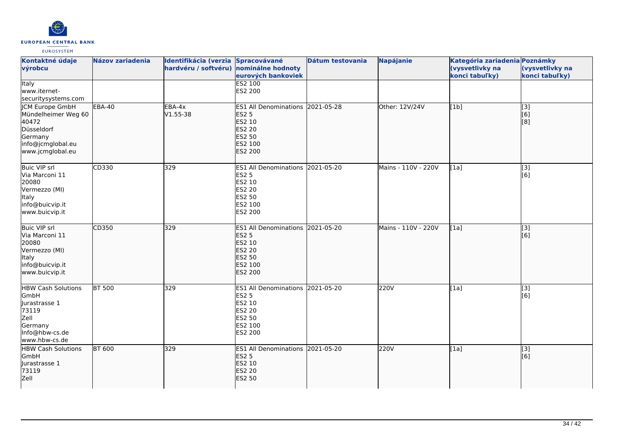

| Kontaktné údaje<br>výrobcu                                                                                               | <b>Názov zariadenia</b> | Identifikácia (verzia Spracovávané<br>hardvéru / softvéru) nominálne hodnoty | eurových bankoviek                                                                                          | Dátum testovania | <b>Napájanie</b>    | Kategória zariadenia Poznámky<br>(vysvetlivky na<br>konci tabuľky) | (vysvetlivky na<br>konci tabuľky) |
|--------------------------------------------------------------------------------------------------------------------------|-------------------------|------------------------------------------------------------------------------|-------------------------------------------------------------------------------------------------------------|------------------|---------------------|--------------------------------------------------------------------|-----------------------------------|
| <b>Italy</b><br>www.iternet-<br>securitysystems.com                                                                      |                         |                                                                              | <b>ES2 100</b><br>ES2 200                                                                                   |                  |                     |                                                                    |                                   |
| <b>JCM Europe GmbH</b><br>Mündelheimer Weg 60<br>40472<br>Düsseldorf<br>Germany<br>info@jcmglobal.eu<br>www.jcmglobal.eu | <b>EBA-40</b>           | EBA-4x<br>V1.55-38                                                           | ES1 All Denominations 2021-05-28<br><b>ES2 5</b><br>ES2 10<br>ES2 20<br><b>ES2 50</b><br>ES2 100<br>ES2 200 |                  | Other: 12V/24V      | [1b]                                                               | $\overline{[3]}$<br>[6]<br>[8]    |
| Buic VIP srl<br>Via Marconi 11<br>20080<br>Vermezzo (MI)<br>Italy<br>info@buicvip.it<br>www.buicvip.it                   | CD330                   | 329                                                                          | <b>ES1 All Denominations</b><br><b>ES2 5</b><br>ES2 10<br><b>ES2 20</b><br>ES2 50<br>ES2 100<br>ES2 200     | 2021-05-20       | Mains - 110V - 220V | [1a]                                                               | [3]<br>[6]                        |
| <b>Buic VIP srl</b><br>Via Marconi 11<br>20080<br>Vermezzo (MI)<br>Italy<br>info@buicvip.it<br>www.buicvip.it            | CD350                   | 329                                                                          | ES1 All Denominations 2021-05-20<br><b>ES2 5</b><br>ES2 10<br><b>ES2 20</b><br>ES2 50<br>ES2 100<br>ES2 200 |                  | Mains - 110V - 220V | [1a]                                                               | [3]<br>[6]                        |
| <b>HBW Cash Solutions</b><br>GmbH<br>Jurastrasse 1<br>73119<br>Zell<br>Germany<br>Info@hbw-cs.de<br>www.hbw-cs.de        | <b>BT 500</b>           | 329                                                                          | <b>ES1 All Denominations</b><br><b>ES2 5</b><br>ES2 10<br>ES2 20<br><b>ES2 50</b><br>ES2 100<br>ES2 200     | 2021-05-20       | 220V                | [1a]                                                               | [3]<br>[6]                        |
| <b>HBW Cash Solutions</b><br>GmbH<br>Jurastrasse 1<br>73119<br>Zell                                                      | <b>BT 600</b>           | 329                                                                          | ES1 All Denominations 2021-05-20<br><b>ES2 5</b><br>ES2 10<br><b>ES2 20</b><br><b>ES2 50</b>                |                  | 220V                | [1a]                                                               | $\overline{[}3]$<br>[6]           |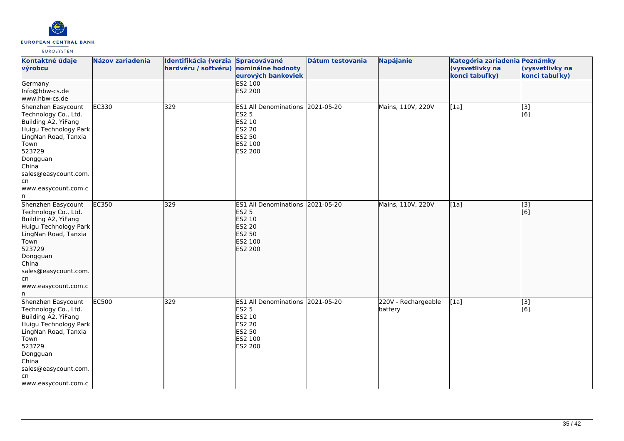

| Kontaktné údaje<br>výrobcu                                                                                                                                                                                             | <b>Názov zariadenia</b> | Identifikácia (verzia Spracovávané<br>hardvéru / softvéru) nominálne hodnoty | eurových bankoviek                                                                                             | Dátum testovania | <b>Napájanie</b>               | Kategória zariadenia Poznámky<br>(vysvetlivky na<br>konci tabuľky) | (vysvetlivky na<br>konci tabuľky) |
|------------------------------------------------------------------------------------------------------------------------------------------------------------------------------------------------------------------------|-------------------------|------------------------------------------------------------------------------|----------------------------------------------------------------------------------------------------------------|------------------|--------------------------------|--------------------------------------------------------------------|-----------------------------------|
| Germany<br>Info@hbw-cs.de<br>www.hbw-cs.de                                                                                                                                                                             |                         |                                                                              | <b>ES2 100</b><br>ES2 200                                                                                      |                  |                                |                                                                    |                                   |
| Shenzhen Easycount<br>Technology Co., Ltd.<br>Building A2, YiFang<br>Huigu Technology Park<br>LingNan Road, Tanxia<br>Town<br>523729<br>Dongguan<br>China<br>sales@easycount.com.<br>lcn<br>www.easycount.com.c<br>ln. | EC330                   | 329                                                                          | ES1 All Denominations 2021-05-20<br><b>ES2 5</b><br>ES2 10<br>ES2 20<br>ES2 50<br>ES2 100<br>ES2 200           |                  | Mains, 110V, 220V              | [1a]                                                               | $\overline{[3]}$<br>[6]           |
| Shenzhen Easycount<br>Technology Co., Ltd.<br>Building A2, YiFang<br>Huigu Technology Park<br>LingNan Road, Tanxia<br>Town<br>523729<br>Dongguan<br>China<br>sales@easycount.com.<br>lcn<br>www.easycount.com.c<br>ln. | EC350                   | 329                                                                          | <b>ES1 All Denominations</b><br><b>ES2 5</b><br>ES2 10<br><b>ES2 20</b><br><b>ES2 50</b><br>ES2 100<br>ES2 200 | 2021-05-20       | Mains, 110V, 220V              | [1a]                                                               | [3]<br>[6]                        |
| Shenzhen Easycount<br>Technology Co., Ltd.<br>Building A2, YiFang<br>Huigu Technology Park<br>LingNan Road, Tanxia<br>Town<br>523729<br>Dongguan<br>China<br>sales@easycount.com.<br>lcn<br>www.easycount.com.c        | EC500                   | 329                                                                          | <b>ES1 All Denominations</b><br><b>ES2 5</b><br>ES2 10<br><b>ES2 20</b><br>ES2 50<br>ES2 100<br>ES2 200        | 2021-05-20       | 220V - Rechargeable<br>battery | [1a]                                                               | [3]<br>[6]                        |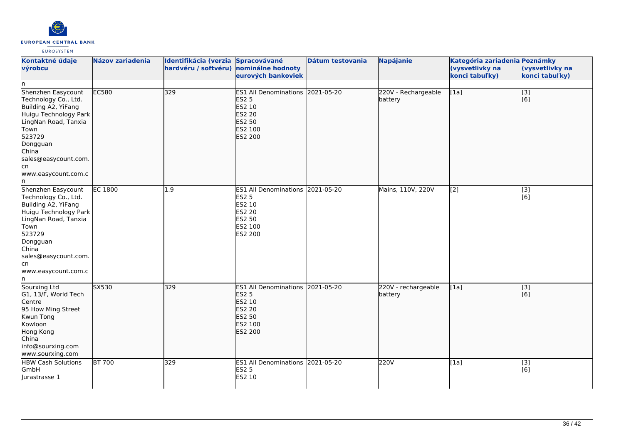

| Kontaktné údaje<br>výrobcu<br>n                                                                                                                                                                                      | <b>Názov zariadenia</b> | Identifikácia (verzia Spracovávané<br>hardvéru / softvéru) | nominálne hodnoty<br>eurových bankoviek                                                                            | Dátum testovania | <b>Napájanie</b>               | Kategória zariadenia Poznámky<br>(vysvetlivky na<br>konci tabuľky) | (vysvetlivky na<br>konci tabuľky) |
|----------------------------------------------------------------------------------------------------------------------------------------------------------------------------------------------------------------------|-------------------------|------------------------------------------------------------|--------------------------------------------------------------------------------------------------------------------|------------------|--------------------------------|--------------------------------------------------------------------|-----------------------------------|
| Shenzhen Easycount<br>Technology Co., Ltd.<br>Building A2, YiFang<br>Huigu Technology Park<br>LingNan Road, Tanxia<br>Town<br>523729<br>Dongguan<br>China<br>sales@easycount.com.<br>cn<br>www.easycount.com.c<br>ın | EC580                   | 329                                                        | ES1 All Denominations 2021-05-20<br>ES2 5<br>ES2 10<br><b>ES2 20</b><br>ES2 50<br>ES2 100<br>ES2 200               |                  | 220V - Rechargeable<br>battery | [1a]                                                               | $\overline{[}$ [3]<br>[6]         |
| Shenzhen Easycount<br>Technology Co., Ltd.<br>Building A2, YiFang<br>Huigu Technology Park<br>LingNan Road, Tanxia<br>Town<br>523729<br>Dongguan<br>China<br>sales@easycount.com.<br>cn<br>www.easycount.com.c<br>n  | <b>EC 1800</b>          | 1.9                                                        | ES1 All Denominations 2021-05-20<br><b>ES2 5</b><br>ES2 10<br><b>ES2 20</b><br>ES2 50<br>ES2 100<br>ES2 200        |                  | Mains, 110V, 220V              | [2]                                                                | $\overline{[3]}$<br>[6]           |
| Sourxing Ltd<br>G1, 13/F, World Tech<br>Centre<br>95 How Ming Street<br>Kwun Tong<br>Kowloon<br>Hong Kong<br>China<br>info@sourxing.com<br>www.sourxing.com                                                          | SX530                   | 329                                                        | ES1 All Denominations 2021-05-20<br><b>ES2 5</b><br>ES2 10<br><b>ES2 20</b><br>ES2 50<br>ES2 100<br><b>ES2 200</b> |                  | 220V - rechargeable<br>battery | [1a]                                                               | $\overline{[3]}$<br>[6]           |
| <b>HBW Cash Solutions</b><br>GmbH<br>Jurastrasse 1                                                                                                                                                                   | <b>BT 700</b>           | 329                                                        | ES1 All Denominations 2021-05-20<br><b>ES2 5</b><br>ES2 10                                                         |                  | 220V                           | [1a]                                                               | [3]<br>[6]                        |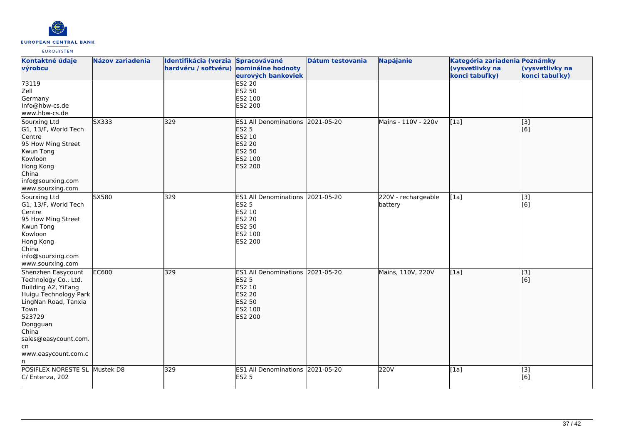

| Kontaktné údaje<br>výrobcu                                                                                                                                                                                      | <b>Názov zariadenia</b> | Identifikácia (verzia Spracovávané<br>hardvéru / softvéru) nominálne hodnoty | eurových bankoviek                                                                                          | Dátum testovania | <b>Napájanie</b>               | Kategória zariadenia Poznámky<br>(vysvetlivky na<br>konci tabuľky) | (vysvetlivky na<br>konci tabuľky) |
|-----------------------------------------------------------------------------------------------------------------------------------------------------------------------------------------------------------------|-------------------------|------------------------------------------------------------------------------|-------------------------------------------------------------------------------------------------------------|------------------|--------------------------------|--------------------------------------------------------------------|-----------------------------------|
| 73119<br>Zell<br>Germany<br>Info@hbw-cs.de<br>www.hbw-cs.de                                                                                                                                                     |                         |                                                                              | <b>ES2 20</b><br>ES2 50<br>ES2 100<br>ES2 200                                                               |                  |                                |                                                                    |                                   |
| Sourxing Ltd<br>G1, 13/F, World Tech<br>Centre<br>95 How Ming Street<br>Kwun Tong<br>Kowloon<br>Hong Kong<br>China<br>info@sourxing.com<br>www.sourxing.com                                                     | SX333                   | 329                                                                          | ES1 All Denominations 2021-05-20<br><b>ES2 5</b><br>ES2 10<br><b>ES2 20</b><br>ES2 50<br>ES2 100<br>ES2 200 |                  | Mains - 110V - 220v            | [1a]                                                               | [3]<br>[6]                        |
| Sourxing Ltd<br>G1, 13/F, World Tech<br>Centre<br>95 How Ming Street<br>Kwun Tong<br>Kowloon<br>Hong Kong<br>China<br>info@sourxing.com<br>www.sourxing.com                                                     | SX580                   | 329                                                                          | ES1 All Denominations 2021-05-20<br><b>ES2 5</b><br>ES2 10<br>ES2 20<br><b>ES2 50</b><br>ES2 100<br>ES2 200 |                  | 220V - rechargeable<br>battery | [1a]                                                               | $[3]$<br>[6]                      |
| Shenzhen Easycount<br>Technology Co., Ltd.<br>Building A2, YiFang<br>Huigu Technology Park<br>LingNan Road, Tanxia<br>Town<br>523729<br>Dongguan<br>China<br>sales@easycount.com.<br>lcn<br>www.easycount.com.c | <b>EC600</b>            | 329                                                                          | <b>ES1 All Denominations</b><br><b>ES2 5</b><br>ES2 10<br>ES2 20<br>ES2 50<br>ES2 100<br><b>ES2 200</b>     | 2021-05-20       | Mains, 110V, 220V              | [1a]                                                               | [3]<br>[6]                        |
| POSIFLEX NORESTE SL Mustek D8<br>C/ Entenza, 202                                                                                                                                                                |                         | 329                                                                          | <b>ES1 All Denominations</b><br><b>ES2 5</b>                                                                | 2021-05-20       | 220V                           | [1a]                                                               | [3]<br>[6]                        |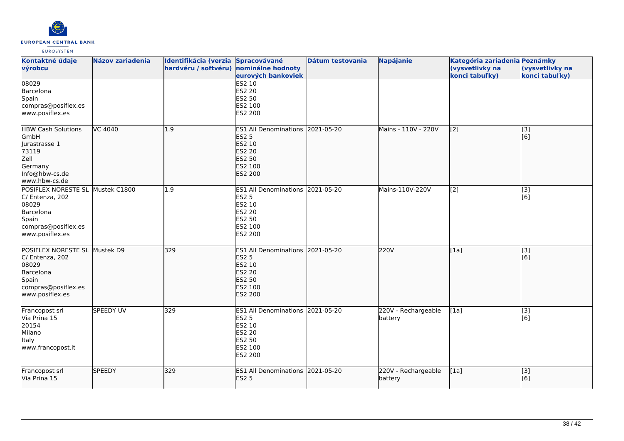

| Kontaktné údaje<br>výrobcu                                                                                                   | <b>Názov zariadenia</b> | Identifikácia (verzia Spracovávané<br>hardvéru / softvéru) nominálne hodnoty | eurových bankoviek                                                                                          | Dátum testovania | <b>Napájanie</b>               | Kategória zariadenia Poznámky<br>(vysvetlivky na<br>konci tabuľky) | (vysvetlivky na<br>konci tabuľky) |
|------------------------------------------------------------------------------------------------------------------------------|-------------------------|------------------------------------------------------------------------------|-------------------------------------------------------------------------------------------------------------|------------------|--------------------------------|--------------------------------------------------------------------|-----------------------------------|
| 08029<br>Barcelona<br>Spain<br>compras@posiflex.es<br>www.posiflex.es                                                        |                         |                                                                              | <b>ES2 10</b><br><b>ES2 20</b><br>ES2 50<br>ES2 100<br>ES2 200                                              |                  |                                |                                                                    |                                   |
| <b>HBW Cash Solutions</b><br>GmbH<br>Jurastrasse 1<br>73119<br>Zell<br>Germany<br>Info@hbw-cs.de<br>www.hbw-cs.de            | <b>VC 4040</b>          | 1.9                                                                          | ES1 All Denominations 2021-05-20<br><b>ES2 5</b><br>ES2 10<br><b>ES2 20</b><br>ES2 50<br>ES2 100<br>ES2 200 |                  | Mains - 110V - 220V            | $\left[ \begin{matrix} 2 \end{matrix} \right]$                     | [3]<br>[6]                        |
| POSIFLEX NORESTE SL Mustek C1800<br>C/ Entenza, 202<br>08029<br>Barcelona<br>Spain<br>compras@posiflex.es<br>www.posiflex.es |                         | 1.9                                                                          | ES1 All Denominations 2021-05-20<br>ES2 5<br>ES2 10<br><b>ES2 20</b><br>ES2 50<br>ES2 100<br>ES2 200        |                  | Mains-110V-220V                | [2]                                                                | $\overline{[3]}$<br>[6]           |
| POSIFLEX NORESTE SL Mustek D9<br>C/ Entenza, 202<br>08029<br>Barcelona<br>Spain<br>compras@posiflex.es<br>www.posiflex.es    |                         | 329                                                                          | ES1 All Denominations 2021-05-20<br><b>ES2 5</b><br>ES2 10<br><b>ES2 20</b><br>ES2 50<br>ES2 100<br>ES2 200 |                  | 220V                           | [1a]                                                               | $\overline{[}3]$<br>[6]           |
| Francopost srl<br>Via Prina 15<br>20154<br>Milano<br>Italy<br>www.francopost.it                                              | <b>SPEEDY UV</b>        | 329                                                                          | ES1 All Denominations 2021-05-20<br><b>ES2 5</b><br>ES2 10<br><b>ES2 20</b><br>ES2 50<br>ES2 100<br>ES2 200 |                  | 220V - Rechargeable<br>battery | [1a]                                                               | [3]<br>[6]                        |
| Francopost srl<br>Via Prina 15                                                                                               | <b>SPEEDY</b>           | 329                                                                          | ES1 All Denominations 2021-05-20<br><b>ES2 5</b>                                                            |                  | 220V - Rechargeable<br>battery | [1a]                                                               | [3]<br>[6]                        |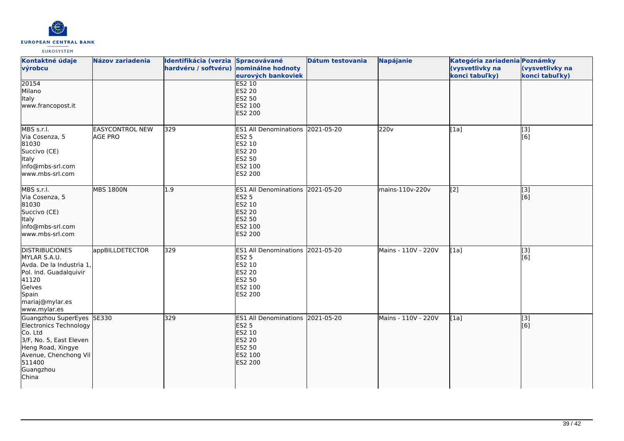

| Kontaktné údaje<br>výrobcu                                                                                                                                              | <b>Názov zariadenia</b>                  | Identifikácia (verzia Spracovávané<br>hardvéru / softvéru) nominálne hodnoty | eurových bankoviek                                                                                          | Dátum testovania | Napájanie           | Kategória zariadenia Poznámky<br>(vysvetlivky na<br>konci tabuľky) | (vysvetlivky na<br>konci tabuľky)  |
|-------------------------------------------------------------------------------------------------------------------------------------------------------------------------|------------------------------------------|------------------------------------------------------------------------------|-------------------------------------------------------------------------------------------------------------|------------------|---------------------|--------------------------------------------------------------------|------------------------------------|
| 20154<br>Milano<br>Italy<br>www.francopost.it                                                                                                                           |                                          |                                                                              | <b>ES2 10</b><br><b>ES2 20</b><br>ES2 50<br>ES2 100<br>ES2 200                                              |                  |                     |                                                                    |                                    |
| MBS s.r.l.<br>Via Cosenza, 5<br>81030<br>Succivo (CE)<br>Italy<br>info@mbs-srl.com<br>www.mbs-srl.com                                                                   | <b>EASYCONTROL NEW</b><br><b>AGE PRO</b> | 329                                                                          | ES1 All Denominations 2021-05-20<br>ES2 5<br>ES2 10<br>ES2 20<br>ES2 50<br>ES2 100<br>ES2 200               |                  | 220 <sub>v</sub>    | [1a]                                                               | [3]<br>$\overline{[}6\overline{)}$ |
| MBS s.r.l.<br>Via Cosenza, 5<br>81030<br>Succivo (CE)<br>Italy<br>info@mbs-srl.com<br>www.mbs-srl.com                                                                   | <b>MBS 1800N</b>                         | 1.9                                                                          | ES1 All Denominations 2021-05-20<br><b>ES2 5</b><br>ES2 10<br><b>ES2 20</b><br>ES2 50<br>ES2 100<br>ES2 200 |                  | mains-110v-220v     | $\left[$ [2]                                                       | $\overline{[}3]$<br>[6]            |
| <b>DISTRIBUCIONES</b><br>MYLAR S.A.U.<br>Avda. De la Industria 1,<br>Pol. Ind. Guadalquivir<br>41120<br>Gelves<br>Spain<br>mariaj@mylar.es<br>www.mylar.es              | appBILLDETECTOR                          | 329                                                                          | ES1 All Denominations 2021-05-20<br>ES2 5<br>ES2 10<br>ES2 20<br>ES2 50<br>ES2 100<br>ES2 200               |                  | Mains - 110V - 220V | [1a]                                                               | $[3]$<br>[6]                       |
| Guangzhou SuperEyes SE330<br>Electronics Technology<br>Co. Ltd<br>3/F, No. 5, East Eleven<br>Heng Road, Xingye<br>Avenue, Chenchong Vil<br>511400<br>Guangzhou<br>China |                                          | 329                                                                          | ES1 All Denominations 2021-05-20<br><b>ES2 5</b><br>ES2 10<br><b>ES2 20</b><br>ES2 50<br>ES2 100<br>ES2 200 |                  | Mains - 110V - 220V | [1a]                                                               | [3]<br>[6]                         |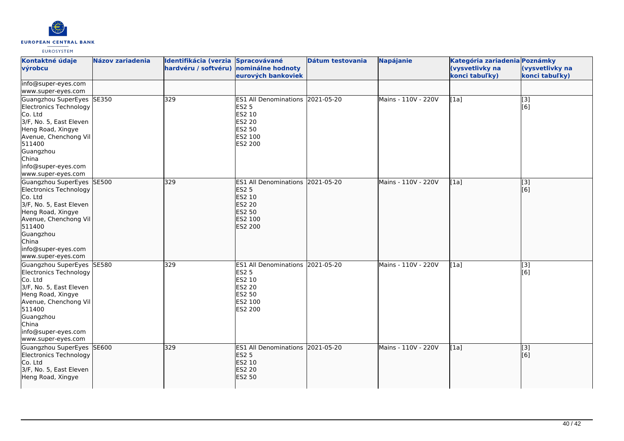

| Kontaktné údaje<br>výrobcu                                                                                                                                                                                           | <b>Názov zariadenia</b> | Identifikácia (verzia Spracovávané<br>hardvéru / softvéru) nominálne hodnoty | eurových bankoviek                                                                                                    | Dátum testovania | <b>Napájanie</b>    | Kategória zariadenia Poznámky<br>(vysvetlivky na<br>konci tabuľky) | (vysvetlivky na<br>konci tabuľky) |
|----------------------------------------------------------------------------------------------------------------------------------------------------------------------------------------------------------------------|-------------------------|------------------------------------------------------------------------------|-----------------------------------------------------------------------------------------------------------------------|------------------|---------------------|--------------------------------------------------------------------|-----------------------------------|
| info@super-eyes.com<br>www.super-eyes.com                                                                                                                                                                            |                         |                                                                              |                                                                                                                       |                  |                     |                                                                    |                                   |
| Guangzhou SuperEyes SE350<br>Electronics Technology<br>Co. Ltd<br>3/F, No. 5, East Eleven<br>Heng Road, Xingye<br>Avenue, Chenchong Vil<br>511400<br>Guangzhou<br>China<br>info@super-eyes.com<br>www.super-eyes.com |                         | 329                                                                          | ES1 All Denominations 2021-05-20<br><b>ES2 5</b><br>ES2 10<br>ES2 20<br>ES2 50<br>ES2 100<br>ES2 200                  |                  | Mains - 110V - 220V | [1a]                                                               | $\overline{[3]}$<br>[6]           |
| Guangzhou SuperEyes SE500<br>Electronics Technology<br>Co. Ltd<br>3/F, No. 5, East Eleven<br>Heng Road, Xingye<br>Avenue, Chenchong Vil<br>511400<br>Guangzhou<br>China<br>info@super-eyes.com<br>www.super-eyes.com |                         | 329                                                                          | <b>ES1 All Denominations</b><br><b>ES2 5</b><br>ES2 10<br><b>ES2 20</b><br><b>ES2 50</b><br>ES2 100<br><b>ES2 200</b> | 2021-05-20       | Mains - 110V - 220V | [1a]                                                               | [[3]<br>[6]                       |
| Guangzhou SuperEyes SE580<br>Electronics Technology<br>Co. Ltd<br>3/F, No. 5, East Eleven<br>Heng Road, Xingye<br>Avenue, Chenchong Vil<br>511400<br>Guangzhou<br>China<br>info@super-eyes.com<br>www.super-eyes.com |                         | 329                                                                          | ES1 All Denominations 2021-05-20<br><b>ES2 5</b><br>ES2 10<br><b>ES2 20</b><br>ES2 50<br>ES2 100<br>ES2 200           |                  | Mains - 110V - 220V | [1a]                                                               | $\overline{[3]}$<br>[6]           |
| Guangzhou SuperEyes SE600<br>Electronics Technology<br>Co. Ltd<br>3/F, No. 5, East Eleven<br>Heng Road, Xingye                                                                                                       |                         | 329                                                                          | ES1 All Denominations 2021-05-20<br><b>ES2 5</b><br>ES2 10<br><b>ES2 20</b><br><b>ES2 50</b>                          |                  | Mains - 110V - 220V | [1a]                                                               | [3]<br>[6]                        |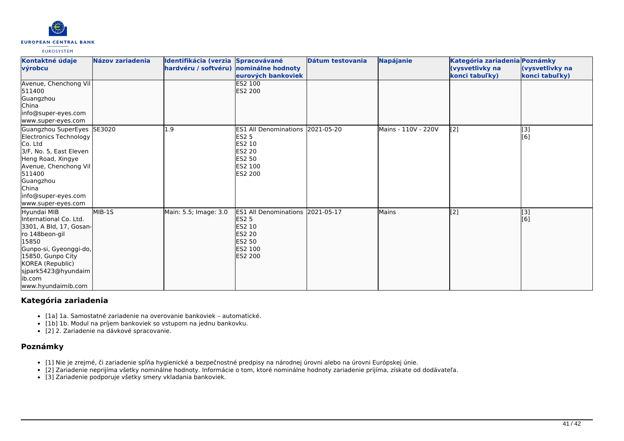

| Kontaktné údaje<br>výrobcu                                                                                                                                                                                              | Názov zariadenia | Identifikácia (verzia Spracovávané<br>hardvéru / softvéru) nominálne hodnoty | eurových bankoviek                                                                                                                      | Dátum testovania | Napájanie           | Kategória zariadenia Poznámky<br>(vysvetlivky na<br>konci tabuľky) | (vysvetlivky na<br>konci tabuľky) |
|-------------------------------------------------------------------------------------------------------------------------------------------------------------------------------------------------------------------------|------------------|------------------------------------------------------------------------------|-----------------------------------------------------------------------------------------------------------------------------------------|------------------|---------------------|--------------------------------------------------------------------|-----------------------------------|
| Avenue, Chenchong Vil<br>511400<br>Guangzhou<br><b>China</b><br>info@super-eyes.com<br>www.super-eyes.com                                                                                                               |                  |                                                                              | ES2 100<br><b>ES2 200</b>                                                                                                               |                  |                     |                                                                    |                                   |
| Guangzhou SuperEyes SE3020<br>Electronics Technology<br>Co. Ltd<br>3/F, No. 5, East Eleven<br>Heng Road, Xingye<br>Avenue, Chenchong Vil<br>511400<br>Guangzhou<br>China<br>info@super-eyes.com<br>www.super-eyes.com   |                  | 1.9                                                                          | ES1 All Denominations 2021-05-20<br><b>ES2 5</b><br><b>ES2 10</b><br><b>ES2 20</b><br><b>ES2 50</b><br><b>ES2 100</b><br><b>ES2 200</b> |                  | Mains - 110V - 220V | [2]                                                                | [3]<br>[6]                        |
| Hyundai MIB<br>linternational Co. Ltd.<br>3301, A Bld, 17, Gosan-<br>ro 148beon-gil<br>15850<br>Gunpo-si, Gyeonggi-do,<br>15850, Gunpo City<br>KOREA (Republic)<br>sjpark5423@hyundaim<br>lib.com<br>www.hyundaimib.com | MIB-15           | Main: 5.5; Image: 3.0                                                        | ES1 All Denominations 2021-05-17<br><b>ES2 5</b><br><b>ES2 10</b><br><b>ES2 20</b><br><b>ES2 50</b><br>ES2 100<br><b>ES2 200</b>        |                  | <b>Mains</b>        | $\overline{[2]}$                                                   | $\overline{[}$ [3]<br>[6]         |

# **Kategória zariadenia**

- [1a] 1a. Samostatné zariadenie na overovanie bankoviek automatické.
- [1b] 1b. Modul na príjem bankoviek so vstupom na jednu bankovku.

[2] 2. Zariadenie na dávkové spracovanie.

# **Poznámky**

- [1] Nie je zrejmé, či zariadenie spĺňa hygienické a bezpečnostné predpisy na národnej úrovni alebo na úrovni Európskej únie.
- [2] Zariadenie neprijíma všetky nominálne hodnoty. Informácie o tom, ktoré nominálne hodnoty zariadenie prijíma, získate od dodávateľa.
- [3] Zariadenie podporuje všetky smery vkladania bankoviek.